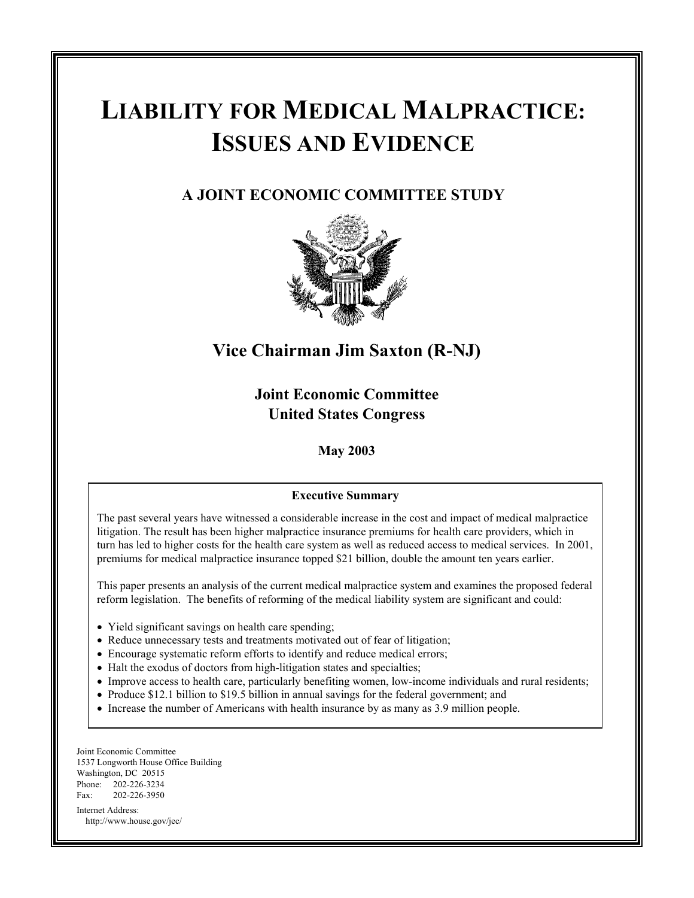# **LIABILITY FOR MEDICAL MALPRACTICE: ISSUES AND EVIDENCE**

## **A JOINT ECONOMIC COMMITTEE STUDY**



## **Vice Chairman Jim Saxton (R-NJ)**

**Joint Economic Committee United States Congress**

**May 2003**

#### **Executive Summary**

The past several years have witnessed a considerable increase in the cost and impact of medical malpractice litigation. The result has been higher malpractice insurance premiums for health care providers, which in turn has led to higher costs for the health care system as well as reduced access to medical services. In 2001, premiums for medical malpractice insurance topped \$21 billion, double the amount ten years earlier.

This paper presents an analysis of the current medical malpractice system and examines the proposed federal reform legislation. The benefits of reforming of the medical liability system are significant and could:

- Yield significant savings on health care spending;
- Reduce unnecessary tests and treatments motivated out of fear of litigation;
- Encourage systematic reform efforts to identify and reduce medical errors;
- Halt the exodus of doctors from high-litigation states and specialties;
- Improve access to health care, particularly benefiting women, low-income individuals and rural residents;
- Produce \$12.1 billion to \$19.5 billion in annual savings for the federal government; and
- Increase the number of Americans with health insurance by as many as 3.9 million people.

Joint Economic Committee 1537 Longworth House Office Building Washington, DC 20515 Phone: 202-226-3234 Fax: 202-226-3950 Internet Address:

http://www.house.gov/jec/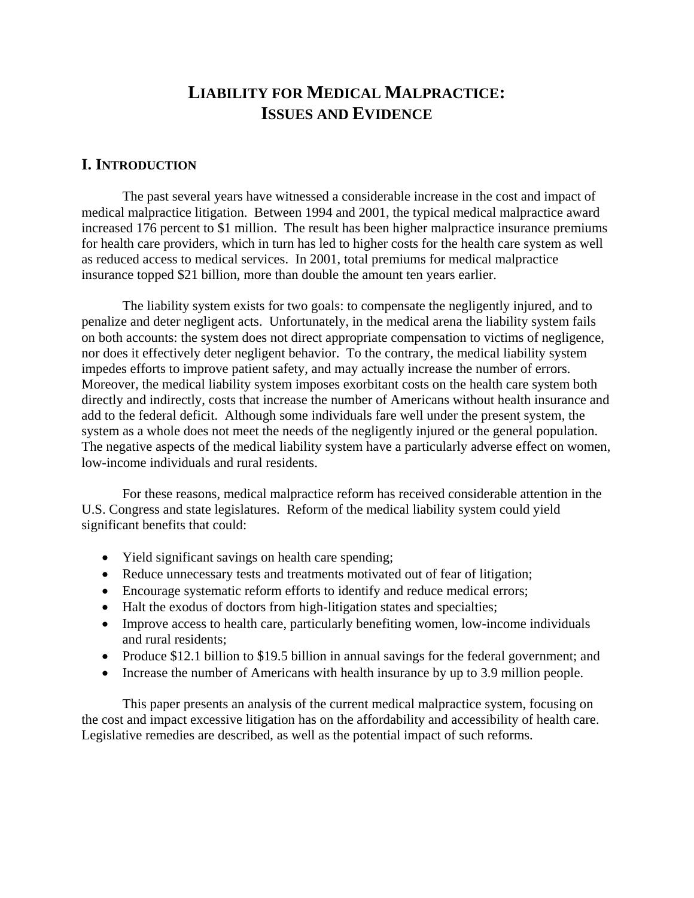## **LIABILITY FOR MEDICAL MALPRACTICE: ISSUES AND EVIDENCE**

## **I. INTRODUCTION**

 The past several years have witnessed a considerable increase in the cost and impact of medical malpractice litigation. Between 1994 and 2001, the typical medical malpractice award increased 176 percent to \$1 million. The result has been higher malpractice insurance premiums for health care providers, which in turn has led to higher costs for the health care system as well as reduced access to medical services. In 2001, total premiums for medical malpractice insurance topped \$21 billion, more than double the amount ten years earlier.

 The liability system exists for two goals: to compensate the negligently injured, and to penalize and deter negligent acts. Unfortunately, in the medical arena the liability system fails on both accounts: the system does not direct appropriate compensation to victims of negligence, nor does it effectively deter negligent behavior. To the contrary, the medical liability system impedes efforts to improve patient safety, and may actually increase the number of errors. Moreover, the medical liability system imposes exorbitant costs on the health care system both directly and indirectly, costs that increase the number of Americans without health insurance and add to the federal deficit. Although some individuals fare well under the present system, the system as a whole does not meet the needs of the negligently injured or the general population. The negative aspects of the medical liability system have a particularly adverse effect on women, low-income individuals and rural residents.

 For these reasons, medical malpractice reform has received considerable attention in the U.S. Congress and state legislatures. Reform of the medical liability system could yield significant benefits that could:

- Yield significant savings on health care spending;
- Reduce unnecessary tests and treatments motivated out of fear of litigation;
- Encourage systematic reform efforts to identify and reduce medical errors;
- Halt the exodus of doctors from high-litigation states and specialties;
- Improve access to health care, particularly benefiting women, low-income individuals and rural residents;
- Produce \$12.1 billion to \$19.5 billion in annual savings for the federal government; and
- Increase the number of Americans with health insurance by up to 3.9 million people.

 This paper presents an analysis of the current medical malpractice system, focusing on the cost and impact excessive litigation has on the affordability and accessibility of health care. Legislative remedies are described, as well as the potential impact of such reforms.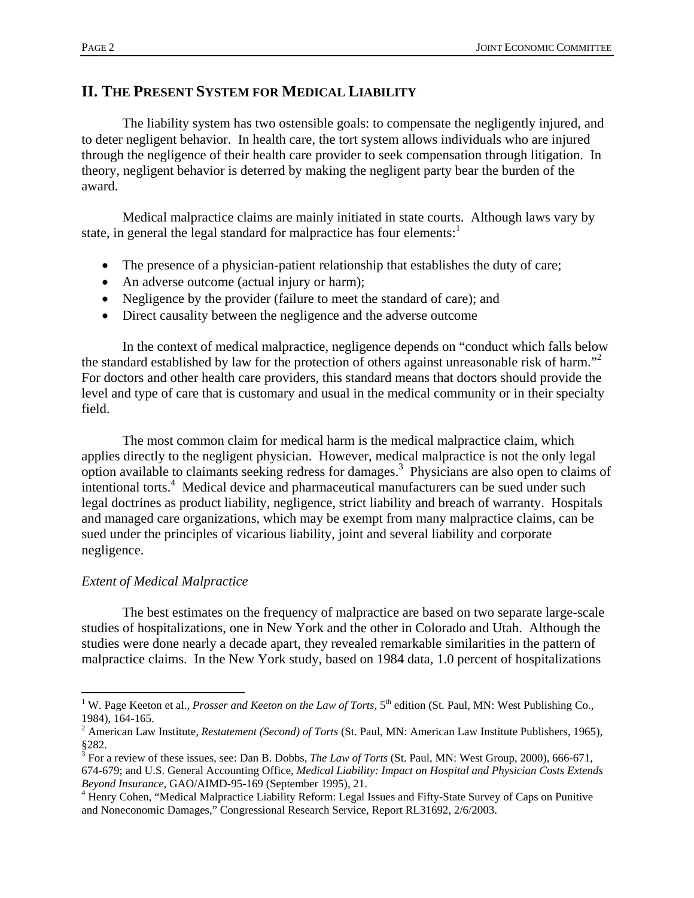## **II. THE PRESENT SYSTEM FOR MEDICAL LIABILITY**

 The liability system has two ostensible goals: to compensate the negligently injured, and to deter negligent behavior. In health care, the tort system allows individuals who are injured through the negligence of their health care provider to seek compensation through litigation. In theory, negligent behavior is deterred by making the negligent party bear the burden of the award.

 Medical malpractice claims are mainly initiated in state courts. Although laws vary by state, in general the legal standard for malpractice has four elements:<sup>1</sup>

- The presence of a physician-patient relationship that establishes the duty of care;
- An adverse outcome (actual injury or harm);
- Negligence by the provider (failure to meet the standard of care); and
- Direct causality between the negligence and the adverse outcome

 In the context of medical malpractice, negligence depends on "conduct which falls below the standard established by law for the protection of others against unreasonable risk of harm."<sup>2</sup> For doctors and other health care providers, this standard means that doctors should provide the level and type of care that is customary and usual in the medical community or in their specialty field.

 The most common claim for medical harm is the medical malpractice claim, which applies directly to the negligent physician. However, medical malpractice is not the only legal option available to claimants seeking redress for damages.3 Physicians are also open to claims of intentional torts.<sup>4</sup> Medical device and pharmaceutical manufacturers can be sued under such legal doctrines as product liability, negligence, strict liability and breach of warranty. Hospitals and managed care organizations, which may be exempt from many malpractice claims, can be sued under the principles of vicarious liability, joint and several liability and corporate negligence.

### *Extent of Medical Malpractice*

 The best estimates on the frequency of malpractice are based on two separate large-scale studies of hospitalizations, one in New York and the other in Colorado and Utah. Although the studies were done nearly a decade apart, they revealed remarkable similarities in the pattern of malpractice claims. In the New York study, based on 1984 data, 1.0 percent of hospitalizations

 $\overline{a}$ <sup>1</sup> W. Page Keeton et al., *Prosser and Keeton on the Law of Torts*, 5<sup>th</sup> edition (St. Paul, MN: West Publishing Co., 1984), 164-165.

<sup>2</sup> American Law Institute, *Restatement (Second) of Torts* (St. Paul, MN: American Law Institute Publishers, 1965), §282.

<sup>&</sup>lt;sup>3</sup> For a review of these issues, see: Dan B. Dobbs, *The Law of Torts* (St. Paul, MN: West Group, 2000), 666-671, 674-679; and U.S. General Accounting Office, *Medical Liability: Impact on Hospital and Physician Costs Extends Beyond Insurance*, GAO/AIMD-95-169 (September 1995), 21. 4

<sup>&</sup>lt;sup>4</sup> Henry Cohen, "Medical Malpractice Liability Reform: Legal Issues and Fifty-State Survey of Caps on Punitive and Noneconomic Damages," Congressional Research Service, Report RL31692, 2/6/2003.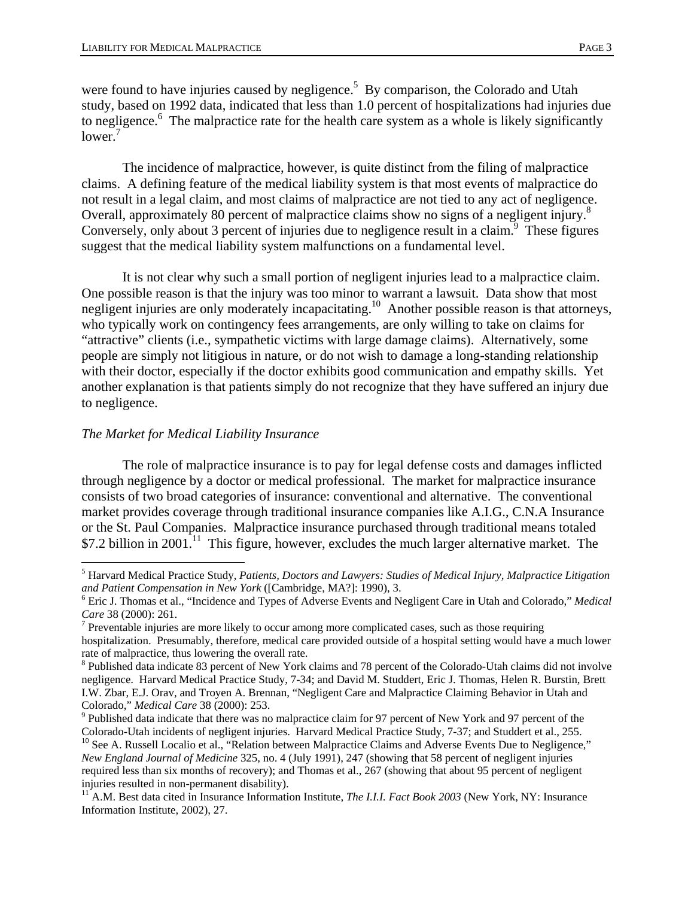were found to have injuries caused by negligence.<sup>5</sup> By comparison, the Colorado and Utah study, based on 1992 data, indicated that less than 1.0 percent of hospitalizations had injuries due to negligence.<sup>6</sup> The malpractice rate for the health care system as a whole is likely significantly  $lower.'$ 

 The incidence of malpractice, however, is quite distinct from the filing of malpractice claims. A defining feature of the medical liability system is that most events of malpractice do not result in a legal claim, and most claims of malpractice are not tied to any act of negligence. Overall, approximately 80 percent of malpractice claims show no signs of a negligent injury.8 Conversely, only about 3 percent of injuries due to negligence result in a claim.<sup>9</sup> These figures suggest that the medical liability system malfunctions on a fundamental level.

 It is not clear why such a small portion of negligent injuries lead to a malpractice claim. One possible reason is that the injury was too minor to warrant a lawsuit. Data show that most negligent injuries are only moderately incapacitating.<sup>10</sup> Another possible reason is that attorneys, who typically work on contingency fees arrangements, are only willing to take on claims for "attractive" clients (i.e., sympathetic victims with large damage claims). Alternatively, some people are simply not litigious in nature, or do not wish to damage a long-standing relationship with their doctor, especially if the doctor exhibits good communication and empathy skills. Yet another explanation is that patients simply do not recognize that they have suffered an injury due to negligence.

#### *The Market for Medical Liability Insurance*

 $\overline{a}$ 

 The role of malpractice insurance is to pay for legal defense costs and damages inflicted through negligence by a doctor or medical professional. The market for malpractice insurance consists of two broad categories of insurance: conventional and alternative. The conventional market provides coverage through traditional insurance companies like A.I.G., C.N.A Insurance or the St. Paul Companies. Malpractice insurance purchased through traditional means totaled \$7.2 billion in 2001.<sup>11</sup> This figure, however, excludes the much larger alternative market. The

<sup>5</sup> Harvard Medical Practice Study, *Patients, Doctors and Lawyers: Studies of Medical Injury, Malpractice Litigation*  and Patient Compensation in New York ([Cambridge, MA?]: 1990), 3.

Eric J. Thomas et al., "Incidence and Types of Adverse Events and Negligent Care in Utah and Colorado," *Medical*  Care 38 (2000): 261.

 $<sup>7</sup>$  Preventable injuries are more likely to occur among more complicated cases, such as those requiring</sup> hospitalization. Presumably, therefore, medical care provided outside of a hospital setting would have a much lower rate of malpractice, thus lowering the overall rate.

<sup>&</sup>lt;sup>8</sup> Published data indicate 83 percent of New York claims and 78 percent of the Colorado-Utah claims did not involve negligence. Harvard Medical Practice Study, 7-34; and David M. Studdert, Eric J. Thomas, Helen R. Burstin, Brett I.W. Zbar, E.J. Orav, and Troyen A. Brennan, "Negligent Care and Malpractice Claiming Behavior in Utah and Colorado," *Medical Care* 38 (2000): 253. 9

<sup>&</sup>lt;sup>9</sup> Published data indicate that there was no malpractice claim for 97 percent of New York and 97 percent of the Colorado-Utah incidents of negligent injuries. Harvard Medical Practice Study, 7-37; and Studdert et al., 255.

<sup>&</sup>lt;sup>10</sup> See A. Russell Localio et al., "Relation between Malpractice Claims and Adverse Events Due to Negligence," *New England Journal of Medicine* 325, no. 4 (July 1991), 247 (showing that 58 percent of negligent injuries required less than six months of recovery); and Thomas et al., 267 (showing that about 95 percent of negligent injuries resulted in non-permanent disability).

<sup>&</sup>lt;sup>11</sup> A.M. Best data cited in Insurance Information Institute, *The I.I.I. Fact Book 2003* (New York, NY: Insurance Information Institute, 2002), 27.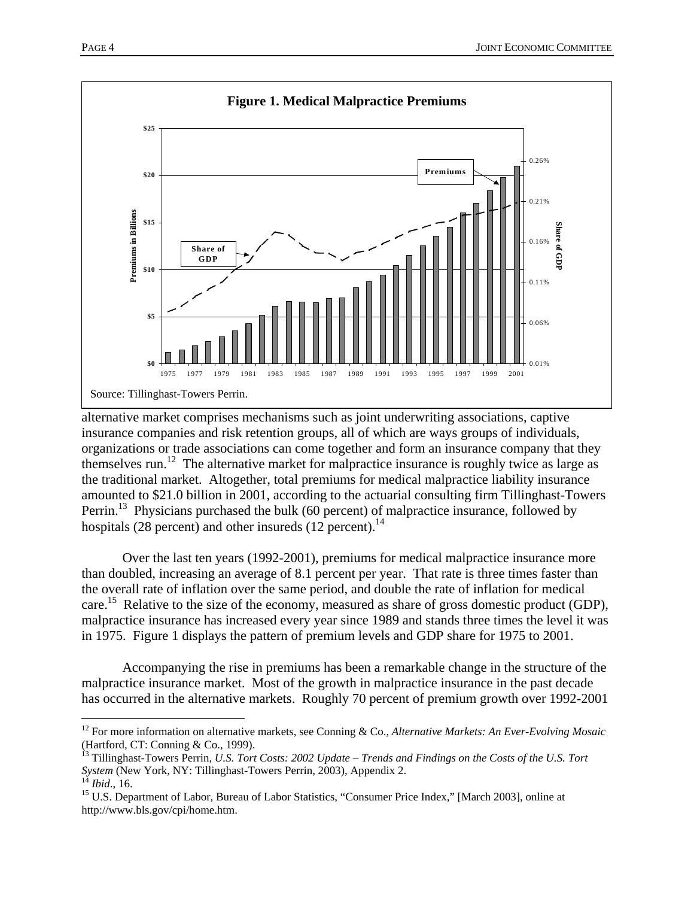

alternative market comprises mechanisms such as joint underwriting associations, captive insurance companies and risk retention groups, all of which are ways groups of individuals, organizations or trade associations can come together and form an insurance company that they themselves run.<sup>12</sup> The alternative market for malpractice insurance is roughly twice as large as the traditional market. Altogether, total premiums for medical malpractice liability insurance amounted to \$21.0 billion in 2001, according to the actuarial consulting firm Tillinghast-Towers Perrin.<sup>13</sup> Physicians purchased the bulk (60 percent) of malpractice insurance, followed by hospitals (28 percent) and other insureds (12 percent).<sup>14</sup>

 Over the last ten years (1992-2001), premiums for medical malpractice insurance more than doubled, increasing an average of 8.1 percent per year. That rate is three times faster than the overall rate of inflation over the same period, and double the rate of inflation for medical care.<sup>15</sup> Relative to the size of the economy, measured as share of gross domestic product (GDP), malpractice insurance has increased every year since 1989 and stands three times the level it was in 1975. Figure 1 displays the pattern of premium levels and GDP share for 1975 to 2001.

 Accompanying the rise in premiums has been a remarkable change in the structure of the malpractice insurance market. Most of the growth in malpractice insurance in the past decade has occurred in the alternative markets. Roughly 70 percent of premium growth over 1992-2001

 $\overline{a}$ 

<sup>12</sup> For more information on alternative markets, see Conning & Co., *Alternative Markets: An Ever-Evolving Mosaic* (Hartford, CT: Conning & Co., 1999).

<sup>&</sup>lt;sup>13</sup> Tillinghast-Towers Perrin, *U.S. Tort Costs: 2002 Update – Trends and Findings on the Costs of the U.S. Tort System* (New York, NY: Tillinghast-Towers Perrin, 2003), Appendix 2.<br><sup>14</sup> *Ibid.*, 16.<br><sup>15</sup> U.S. Department of Labor, Bureau of Labor Statistics, "Consumer Price Index," [March 2003], online at

http://www.bls.gov/cpi/home.htm.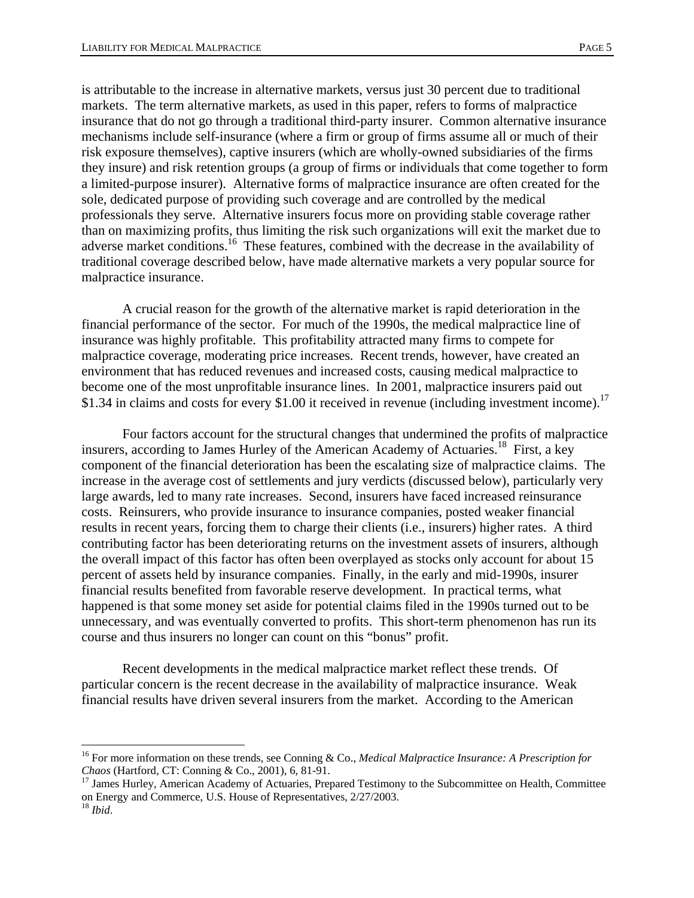is attributable to the increase in alternative markets, versus just 30 percent due to traditional markets. The term alternative markets, as used in this paper, refers to forms of malpractice insurance that do not go through a traditional third-party insurer. Common alternative insurance mechanisms include self-insurance (where a firm or group of firms assume all or much of their risk exposure themselves), captive insurers (which are wholly-owned subsidiaries of the firms they insure) and risk retention groups (a group of firms or individuals that come together to form a limited-purpose insurer). Alternative forms of malpractice insurance are often created for the sole, dedicated purpose of providing such coverage and are controlled by the medical professionals they serve. Alternative insurers focus more on providing stable coverage rather than on maximizing profits, thus limiting the risk such organizations will exit the market due to adverse market conditions.<sup>16</sup> These features, combined with the decrease in the availability of traditional coverage described below, have made alternative markets a very popular source for malpractice insurance.

 A crucial reason for the growth of the alternative market is rapid deterioration in the financial performance of the sector. For much of the 1990s, the medical malpractice line of insurance was highly profitable. This profitability attracted many firms to compete for malpractice coverage, moderating price increases. Recent trends, however, have created an environment that has reduced revenues and increased costs, causing medical malpractice to become one of the most unprofitable insurance lines. In 2001, malpractice insurers paid out \$1.34 in claims and costs for every \$1.00 it received in revenue (including investment income).<sup>17</sup>

 Four factors account for the structural changes that undermined the profits of malpractice insurers, according to James Hurley of the American Academy of Actuaries.<sup>18</sup> First, a key component of the financial deterioration has been the escalating size of malpractice claims. The increase in the average cost of settlements and jury verdicts (discussed below), particularly very large awards, led to many rate increases. Second, insurers have faced increased reinsurance costs. Reinsurers, who provide insurance to insurance companies, posted weaker financial results in recent years, forcing them to charge their clients (i.e., insurers) higher rates. A third contributing factor has been deteriorating returns on the investment assets of insurers, although the overall impact of this factor has often been overplayed as stocks only account for about 15 percent of assets held by insurance companies. Finally, in the early and mid-1990s, insurer financial results benefited from favorable reserve development. In practical terms, what happened is that some money set aside for potential claims filed in the 1990s turned out to be unnecessary, and was eventually converted to profits. This short-term phenomenon has run its course and thus insurers no longer can count on this "bonus" profit.

 Recent developments in the medical malpractice market reflect these trends. Of particular concern is the recent decrease in the availability of malpractice insurance. Weak financial results have driven several insurers from the market. According to the American

 $\overline{a}$ 

<sup>&</sup>lt;sup>16</sup> For more information on these trends, see Conning & Co., *Medical Malpractice Insurance: A Prescription for Chaos* (Hartford, CT: Conning & Co., 2001), 6, 81-91.

<sup>&</sup>lt;sup>17</sup> James Hurley, American Academy of Actuaries, Prepared Testimony to the Subcommittee on Health, Committee on Energy and Commerce, U.S. House of Representatives, 2/27/2003.

<sup>18</sup> *Ibid*.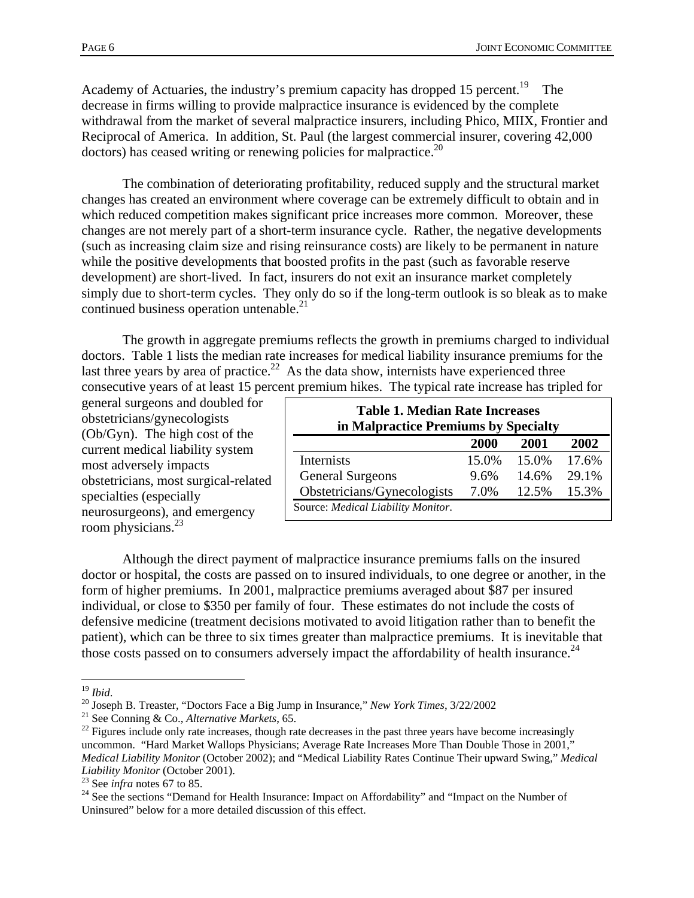Academy of Actuaries, the industry's premium capacity has dropped 15 percent.<sup>19</sup> The decrease in firms willing to provide malpractice insurance is evidenced by the complete withdrawal from the market of several malpractice insurers, including Phico, MIIX, Frontier and Reciprocal of America. In addition, St. Paul (the largest commercial insurer, covering 42,000  $dotors)$  has ceased writing or renewing policies for malpractice.<sup>20</sup>

 The combination of deteriorating profitability, reduced supply and the structural market changes has created an environment where coverage can be extremely difficult to obtain and in which reduced competition makes significant price increases more common. Moreover, these changes are not merely part of a short-term insurance cycle. Rather, the negative developments (such as increasing claim size and rising reinsurance costs) are likely to be permanent in nature while the positive developments that boosted profits in the past (such as favorable reserve development) are short-lived. In fact, insurers do not exit an insurance market completely simply due to short-term cycles. They only do so if the long-term outlook is so bleak as to make continued business operation untenable.<sup>21</sup>

 The growth in aggregate premiums reflects the growth in premiums charged to individual doctors. Table 1 lists the median rate increases for medical liability insurance premiums for the last three years by area of practice.<sup>22</sup> As the data show, internists have experienced three consecutive years of at least 15 percent premium hikes. The typical rate increase has tripled for

general surgeons and doubled for obstetricians/gynecologists (Ob/Gyn). The high cost of the current medical liability system most adversely impacts obstetricians, most surgical-related specialties (especially neurosurgeons), and emergency room physicians.<sup>23</sup>

| <b>Table 1. Median Rate Increases</b><br>in Malpractice Premiums by Specialty |       |       |       |  |  |  |  |  |
|-------------------------------------------------------------------------------|-------|-------|-------|--|--|--|--|--|
|                                                                               | 2000  | 2001  | 2002  |  |  |  |  |  |
| Internists                                                                    | 15.0% | 15.0% | 17.6% |  |  |  |  |  |
| <b>General Surgeons</b>                                                       | 9.6%  | 14.6% | 29.1% |  |  |  |  |  |
| Obstetricians/Gynecologists                                                   | 7.0%  | 12.5% | 15.3% |  |  |  |  |  |
| Source: Medical Liability Monitor.                                            |       |       |       |  |  |  |  |  |

 Although the direct payment of malpractice insurance premiums falls on the insured doctor or hospital, the costs are passed on to insured individuals, to one degree or another, in the form of higher premiums. In 2001, malpractice premiums averaged about \$87 per insured individual, or close to \$350 per family of four. These estimates do not include the costs of defensive medicine (treatment decisions motivated to avoid litigation rather than to benefit the patient), which can be three to six times greater than malpractice premiums. It is inevitable that those costs passed on to consumers adversely impact the affordability of health insurance.<sup>24</sup>

<sup>1</sup> 

<sup>&</sup>lt;sup>19</sup> *Ibid.*<br><sup>20</sup> Joseph B. Treaster, "Doctors Face a Big Jump in Insurance," *New York Times*, 3/22/2002<br><sup>21</sup> See Conning & Co., *Alternative Markets*, 65.<br><sup>22</sup> Figures include only rate increases, though rate decreases uncommon. "Hard Market Wallops Physicians; Average Rate Increases More Than Double Those in 2001," *Medical Liability Monitor* (October 2002); and "Medical Liability Rates Continue Their upward Swing," *Medical Liability Monitor* (October 2001).<br><sup>23</sup> See infra notes 67 to 85.

<sup>&</sup>lt;sup>24</sup> See the sections "Demand for Health Insurance: Impact on Affordability" and "Impact on the Number of Uninsured" below for a more detailed discussion of this effect.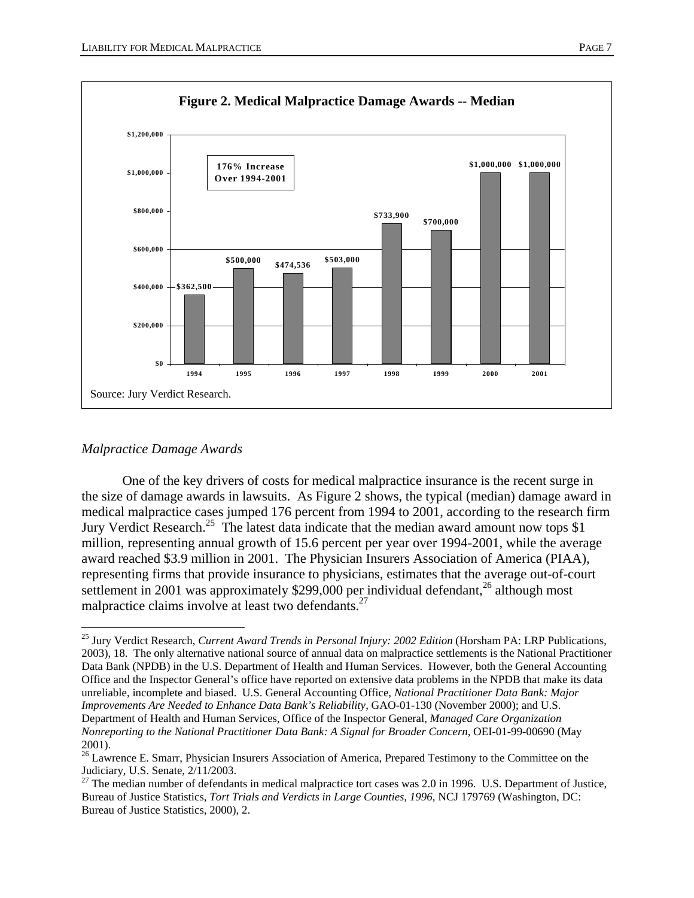

#### *Malpractice Damage Awards*

 $\overline{a}$ 

 One of the key drivers of costs for medical malpractice insurance is the recent surge in the size of damage awards in lawsuits. As Figure 2 shows, the typical (median) damage award in medical malpractice cases jumped 176 percent from 1994 to 2001, according to the research firm Jury Verdict Research.<sup>25</sup> The latest data indicate that the median award amount now tops \$1 million, representing annual growth of 15.6 percent per year over 1994-2001, while the average award reached \$3.9 million in 2001. The Physician Insurers Association of America (PIAA), representing firms that provide insurance to physicians, estimates that the average out-of-court settlement in 2001 was approximately \$299,000 per individual defendant,<sup>26</sup> although most malpractice claims involve at least two defendants.<sup>27</sup>

<sup>&</sup>lt;sup>25</sup> Jury Verdict Research, *Current Award Trends in Personal Injury: 2002 Edition* (Horsham PA: LRP Publications, 2003), 18. The only alternative national source of annual data on malpractice settlements is the National Practitioner Data Bank (NPDB) in the U.S. Department of Health and Human Services. However, both the General Accounting Office and the Inspector General's office have reported on extensive data problems in the NPDB that make its data unreliable, incomplete and biased. U.S. General Accounting Office, *National Practitioner Data Bank: Major Improvements Are Needed to Enhance Data Bank's Reliability*, GAO-01-130 (November 2000); and U.S. Department of Health and Human Services, Office of the Inspector General, *Managed Care Organization Nonreporting to the National Practitioner Data Bank: A Signal for Broader Concern*, OEI-01-99-00690 (May 2001).

<sup>&</sup>lt;sup>26</sup> Lawrence E. Smarr, Physician Insurers Association of America, Prepared Testimony to the Committee on the Judiciary, U.S. Senate, 2/11/2003.

 $27$  The median number of defendants in medical malpractice tort cases was 2.0 in 1996. U.S. Department of Justice, Bureau of Justice Statistics, *Tort Trials and Verdicts in Large Counties, 1996*, NCJ 179769 (Washington, DC: Bureau of Justice Statistics, 2000), 2.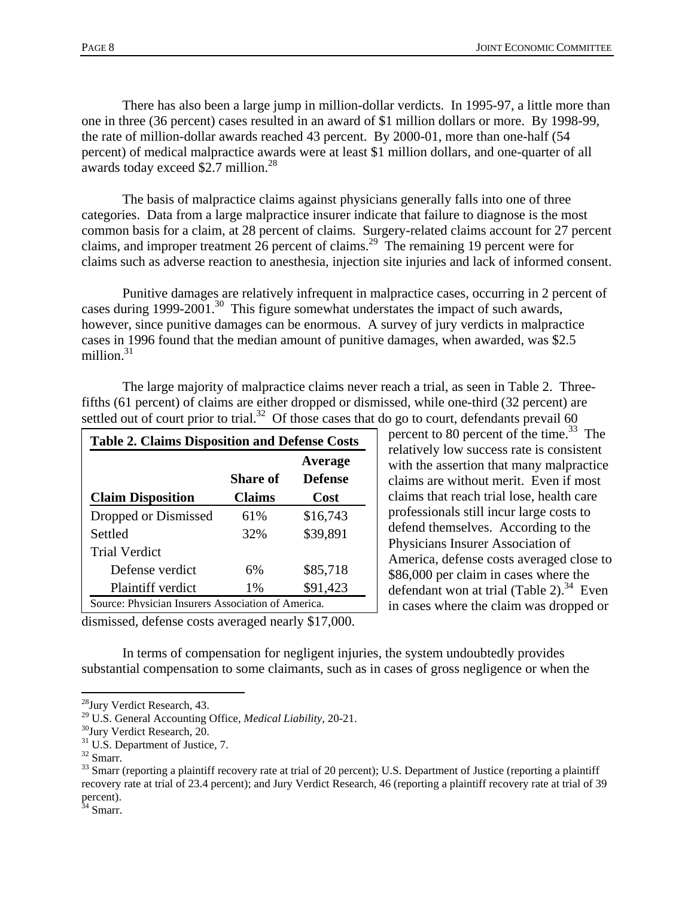There has also been a large jump in million-dollar verdicts. In 1995-97, a little more than one in three (36 percent) cases resulted in an award of \$1 million dollars or more. By 1998-99, the rate of million-dollar awards reached 43 percent. By 2000-01, more than one-half (54 percent) of medical malpractice awards were at least \$1 million dollars, and one-quarter of all awards today exceed \$2.7 million.<sup>28</sup>

 The basis of malpractice claims against physicians generally falls into one of three categories. Data from a large malpractice insurer indicate that failure to diagnose is the most common basis for a claim, at 28 percent of claims. Surgery-related claims account for 27 percent claims, and improper treatment 26 percent of claims.29 The remaining 19 percent were for claims such as adverse reaction to anesthesia, injection site injuries and lack of informed consent.

 Punitive damages are relatively infrequent in malpractice cases, occurring in 2 percent of cases during 1999-2001.<sup>30</sup> This figure somewhat understates the impact of such awards, however, since punitive damages can be enormous. A survey of jury verdicts in malpractice cases in 1996 found that the median amount of punitive damages, when awarded, was \$2.5 million. $31$ 

| <b>Table 2. Claims Disposition and Defense Costs</b> |               |                           |  |  |  |  |  |
|------------------------------------------------------|---------------|---------------------------|--|--|--|--|--|
|                                                      | Share of      | Average<br><b>Defense</b> |  |  |  |  |  |
| <b>Claim Disposition</b>                             | <b>Claims</b> | Cost                      |  |  |  |  |  |
| Dropped or Dismissed                                 | 61%           | \$16,743                  |  |  |  |  |  |
| Settled                                              | 32%           | \$39,891                  |  |  |  |  |  |
| <b>Trial Verdict</b>                                 |               |                           |  |  |  |  |  |
| Defense verdict                                      | 6%            | \$85,718                  |  |  |  |  |  |
| <b>Plaintiff verdict</b>                             | $1\%$         | \$91,423                  |  |  |  |  |  |
| Source: Physician Insurers Association of America.   |               |                           |  |  |  |  |  |

 The large majority of malpractice claims never reach a trial, as seen in Table 2. Threefifths (61 percent) of claims are either dropped or dismissed, while one-third (32 percent) are settled out of court prior to trial.<sup>32</sup> Of those cases that do go to court, defendants prevail 60

percent to 80 percent of the time. $^{33}$  The relatively low success rate is consistent with the assertion that many malpractice claims are without merit. Even if most claims that reach trial lose, health care professionals still incur large costs to defend themselves. According to the Physicians Insurer Association of America, defense costs averaged close to \$86,000 per claim in cases where the defendant won at trial (Table  $2^{\frac{34}{4}}$  Even in cases where the claim was dropped or

dismissed, defense costs averaged nearly \$17,000.

 In terms of compensation for negligent injuries, the system undoubtedly provides substantial compensation to some claimants, such as in cases of gross negligence or when the

1

 $34$  Smarr.

<sup>28</sup>Jury Verdict Research, 43.

<sup>&</sup>lt;sup>29</sup> U.S. General Accounting Office, *Medical Liability*, 20-21. <sup>30</sup>Jury Verdict Research, 20.

<sup>&</sup>lt;sup>31</sup> U.S. Department of Justice, 7.

<sup>32</sup> Smarr.

<sup>&</sup>lt;sup>33</sup> Smarr (reporting a plaintiff recovery rate at trial of 20 percent); U.S. Department of Justice (reporting a plaintiff recovery rate at trial of 23.4 percent); and Jury Verdict Research, 46 (reporting a plaintiff recovery rate at trial of 39 percent).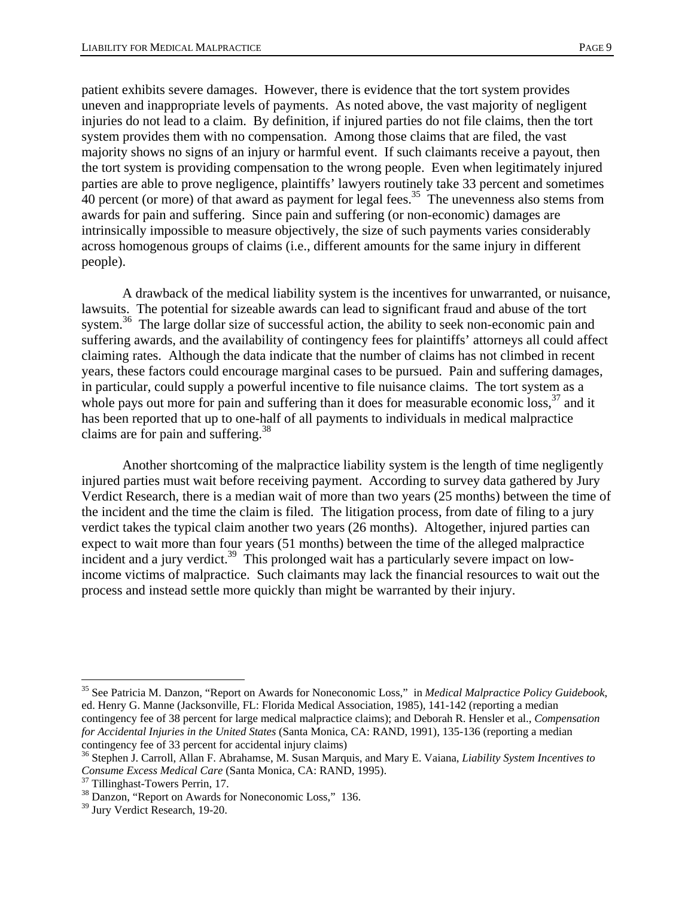patient exhibits severe damages. However, there is evidence that the tort system provides uneven and inappropriate levels of payments. As noted above, the vast majority of negligent injuries do not lead to a claim. By definition, if injured parties do not file claims, then the tort system provides them with no compensation. Among those claims that are filed, the vast majority shows no signs of an injury or harmful event. If such claimants receive a payout, then the tort system is providing compensation to the wrong people. Even when legitimately injured parties are able to prove negligence, plaintiffs' lawyers routinely take 33 percent and sometimes  $40$  percent (or more) of that award as payment for legal fees.<sup>35</sup> The unevenness also stems from awards for pain and suffering. Since pain and suffering (or non-economic) damages are intrinsically impossible to measure objectively, the size of such payments varies considerably across homogenous groups of claims (i.e., different amounts for the same injury in different people).

 A drawback of the medical liability system is the incentives for unwarranted, or nuisance, lawsuits. The potential for sizeable awards can lead to significant fraud and abuse of the tort system.36 The large dollar size of successful action, the ability to seek non-economic pain and suffering awards, and the availability of contingency fees for plaintiffs' attorneys all could affect claiming rates. Although the data indicate that the number of claims has not climbed in recent years, these factors could encourage marginal cases to be pursued. Pain and suffering damages, in particular, could supply a powerful incentive to file nuisance claims. The tort system as a whole pays out more for pain and suffering than it does for measurable economic loss,  $37$  and it has been reported that up to one-half of all payments to individuals in medical malpractice claims are for pain and suffering. $38$ 

 Another shortcoming of the malpractice liability system is the length of time negligently injured parties must wait before receiving payment. According to survey data gathered by Jury Verdict Research, there is a median wait of more than two years (25 months) between the time of the incident and the time the claim is filed. The litigation process, from date of filing to a jury verdict takes the typical claim another two years (26 months). Altogether, injured parties can expect to wait more than four years (51 months) between the time of the alleged malpractice incident and a jury verdict.<sup>39</sup> This prolonged wait has a particularly severe impact on lowincome victims of malpractice. Such claimants may lack the financial resources to wait out the process and instead settle more quickly than might be warranted by their injury.

 $\overline{a}$ 

<sup>35</sup> See Patricia M. Danzon, "Report on Awards for Noneconomic Loss," in *Medical Malpractice Policy Guidebook*, ed. Henry G. Manne (Jacksonville, FL: Florida Medical Association, 1985), 141-142 (reporting a median contingency fee of 38 percent for large medical malpractice claims); and Deborah R. Hensler et al., *Compensation for Accidental Injuries in the United States* (Santa Monica, CA: RAND, 1991), 135-136 (reporting a median contingency fee of 33 percent for accidental injury claims) 36 Stephen J. Carroll, Allan F. Abrahamse, M. Susan Marquis, and Mary E. Vaiana, *Liability System Incentives to* 

*Consume Excess Medical Care* (Santa Monica, CA: RAND, 1995). 37 Tillinghast-Towers Perrin, 17.

<sup>&</sup>lt;sup>38</sup> Danzon, "Report on Awards for Noneconomic Loss," 136.

<sup>&</sup>lt;sup>39</sup> Jury Verdict Research, 19-20.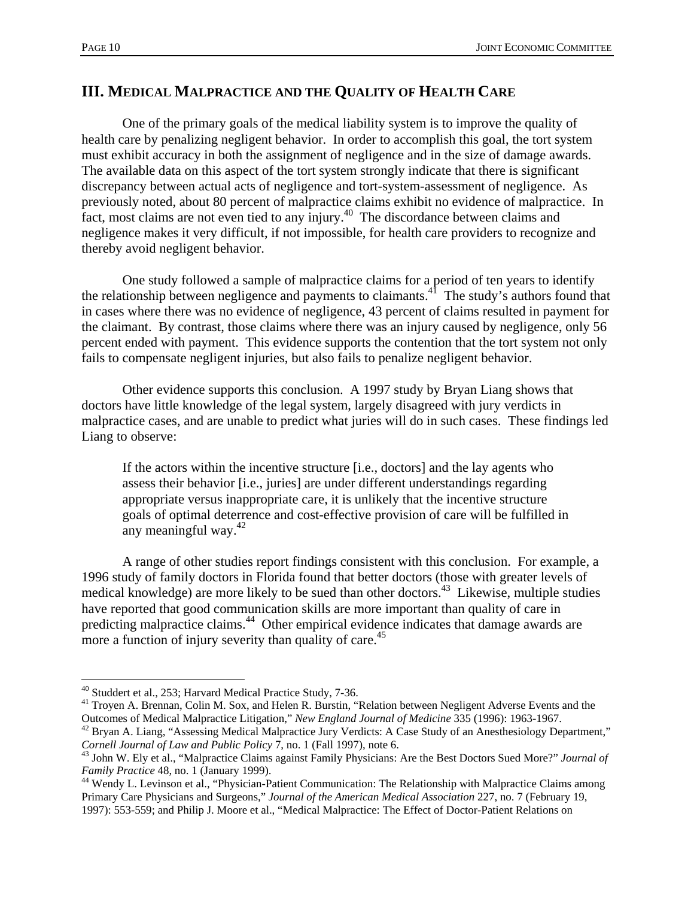## **III. MEDICAL MALPRACTICE AND THE QUALITY OF HEALTH CARE**

 One of the primary goals of the medical liability system is to improve the quality of health care by penalizing negligent behavior. In order to accomplish this goal, the tort system must exhibit accuracy in both the assignment of negligence and in the size of damage awards. The available data on this aspect of the tort system strongly indicate that there is significant discrepancy between actual acts of negligence and tort-system-assessment of negligence. As previously noted, about 80 percent of malpractice claims exhibit no evidence of malpractice. In fact, most claims are not even tied to any injury.40 The discordance between claims and negligence makes it very difficult, if not impossible, for health care providers to recognize and thereby avoid negligent behavior.

 One study followed a sample of malpractice claims for a period of ten years to identify the relationship between negligence and payments to claimants.<sup>41</sup> The study's authors found that in cases where there was no evidence of negligence, 43 percent of claims resulted in payment for the claimant. By contrast, those claims where there was an injury caused by negligence, only 56 percent ended with payment. This evidence supports the contention that the tort system not only fails to compensate negligent injuries, but also fails to penalize negligent behavior.

 Other evidence supports this conclusion. A 1997 study by Bryan Liang shows that doctors have little knowledge of the legal system, largely disagreed with jury verdicts in malpractice cases, and are unable to predict what juries will do in such cases. These findings led Liang to observe:

If the actors within the incentive structure [i.e., doctors] and the lay agents who assess their behavior [i.e., juries] are under different understandings regarding appropriate versus inappropriate care, it is unlikely that the incentive structure goals of optimal deterrence and cost-effective provision of care will be fulfilled in any meaningful way. $42$ 

 A range of other studies report findings consistent with this conclusion. For example, a 1996 study of family doctors in Florida found that better doctors (those with greater levels of medical knowledge) are more likely to be sued than other doctors.<sup>43</sup> Likewise, multiple studies have reported that good communication skills are more important than quality of care in predicting malpractice claims.<sup>44</sup> Other empirical evidence indicates that damage awards are more a function of injury severity than quality of care.<sup>45</sup>

 $\overline{a}$ 

<sup>40</sup> Studdert et al., 253; Harvard Medical Practice Study, 7-36.<br><sup>41</sup> Troyen A. Brennan, Colin M. Sox, and Helen R. Burstin, "Relation between Negligent Adverse Events and the Outcomes of Medical Malpractice Litigation," *New England Journal of Medicine* 335 (1996): 1963-1967. 42 Bryan A. Liang, "Assessing Medical Malpractice Jury Verdicts: A Case Study of an Anesthesiology Department,"

*Cornell Journal of Law and Public Policy* 7, no. 1 (Fall 1997), note 6.<br><sup>43</sup> John W. Ely et al., "Malpractice Claims against Family Physicians: Are the Best Doctors Sued More?" *Journal of Family Practice* 48, no. 1 (Ja

<sup>&</sup>lt;sup>44</sup> Wendy L. Levinson et al., "Physician-Patient Communication: The Relationship with Malpractice Claims among Primary Care Physicians and Surgeons," *Journal of the American Medical Association* 227, no. 7 (February 19, 1997): 553-559; and Philip J. Moore et al., "Medical Malpractice: The Effect of Doctor-Patient Relations on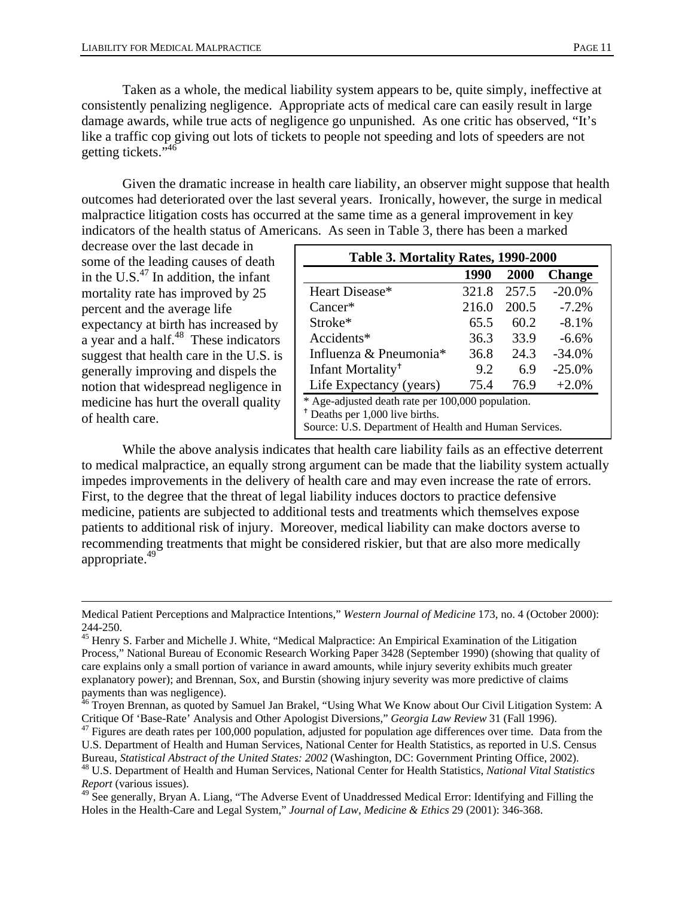Taken as a whole, the medical liability system appears to be, quite simply, ineffective at consistently penalizing negligence. Appropriate acts of medical care can easily result in large damage awards, while true acts of negligence go unpunished. As one critic has observed, "It's like a traffic cop giving out lots of tickets to people not speeding and lots of speeders are not getting tickets."46

 Given the dramatic increase in health care liability, an observer might suppose that health outcomes had deteriorated over the last several years. Ironically, however, the surge in medical malpractice litigation costs has occurred at the same time as a general improvement in key indicators of the health status of Americans. As seen in Table 3, there has been a marked

decrease over the last decade in some of the leading causes of death in the U.S. $^{47}$  In addition, the infant mortality rate has improved by 25 percent and the average life expectancy at birth has increased by a year and a half. $48$  These indicators suggest that health care in the U.S. is generally improving and dispels the notion that widespread negligence in medicine has hurt the overall quality of health care.

| Table 3. Mortality Rates, 1990-2000                                                                                                                      |       |       |               |  |  |  |  |
|----------------------------------------------------------------------------------------------------------------------------------------------------------|-------|-------|---------------|--|--|--|--|
|                                                                                                                                                          | 1990  | 2000  | <b>Change</b> |  |  |  |  |
| Heart Disease*                                                                                                                                           | 321.8 | 257.5 | $-20.0\%$     |  |  |  |  |
| $Cancer*$                                                                                                                                                | 216.0 | 200.5 | $-7.2%$       |  |  |  |  |
| Stroke*                                                                                                                                                  | 65.5  | 60.2  | $-8.1%$       |  |  |  |  |
| Accidents*                                                                                                                                               | 36.3  | 33.9  | $-6.6\%$      |  |  |  |  |
| Influenza & Pneumonia <sup>*</sup>                                                                                                                       | 36.8  | 24.3  | $-34.0%$      |  |  |  |  |
| Infant Mortality <sup>†</sup>                                                                                                                            | 9.2   | 6.9   | $-25.0%$      |  |  |  |  |
| Life Expectancy (years)                                                                                                                                  | 75.4  | 76.9  | $+2.0%$       |  |  |  |  |
| * Age-adjusted death rate per 100,000 population.<br><sup>†</sup> Deaths per 1,000 live births.<br>Source: U.S. Department of Health and Human Services. |       |       |               |  |  |  |  |

 While the above analysis indicates that health care liability fails as an effective deterrent to medical malpractice, an equally strong argument can be made that the liability system actually impedes improvements in the delivery of health care and may even increase the rate of errors. First, to the degree that the threat of legal liability induces doctors to practice defensive medicine, patients are subjected to additional tests and treatments which themselves expose patients to additional risk of injury. Moreover, medical liability can make doctors averse to recommending treatments that might be considered riskier, but that are also more medically appropriate.<sup>49</sup>

Medical Patient Perceptions and Malpractice Intentions," *Western Journal of Medicine* 173, no. 4 (October 2000): 244-250.

<sup>&</sup>lt;sup>45</sup> Henry S. Farber and Michelle J. White, "Medical Malpractice: An Empirical Examination of the Litigation Process," National Bureau of Economic Research Working Paper 3428 (September 1990) (showing that quality of care explains only a small portion of variance in award amounts, while injury severity exhibits much greater explanatory power); and Brennan, Sox, and Burstin (showing injury severity was more predictive of claims payments than was negligence).

<sup>&</sup>lt;sup>46</sup> Troyen Brennan, as quoted by Samuel Jan Brakel, "Using What We Know about Our Civil Litigation System: A Critique Of 'Base-Rate' Analysis and Other Apologist Diversions," *Georgia Law Review* 31 (Fall 1996). 47 Figures are death rates per 100,000 population, adjusted for population age differences over time. Data from the

U.S. Department of Health and Human Services, National Center for Health Statistics, as reported in U.S. Census Bureau, Statistical Abstract of the United States: 2002 (Washington, DC: Government Printing Office, 2002).<br><sup>48</sup> U.S. Department of Health and Human Services, National Center for Health Statistics, *National Vital Statisti Report* (various issues).

<sup>&</sup>lt;sup>49</sup> See generally, Bryan A. Liang, "The Adverse Event of Unaddressed Medical Error: Identifying and Filling the Holes in the Health-Care and Legal System," *Journal of Law, Medicine & Ethics* 29 (2001): 346-368.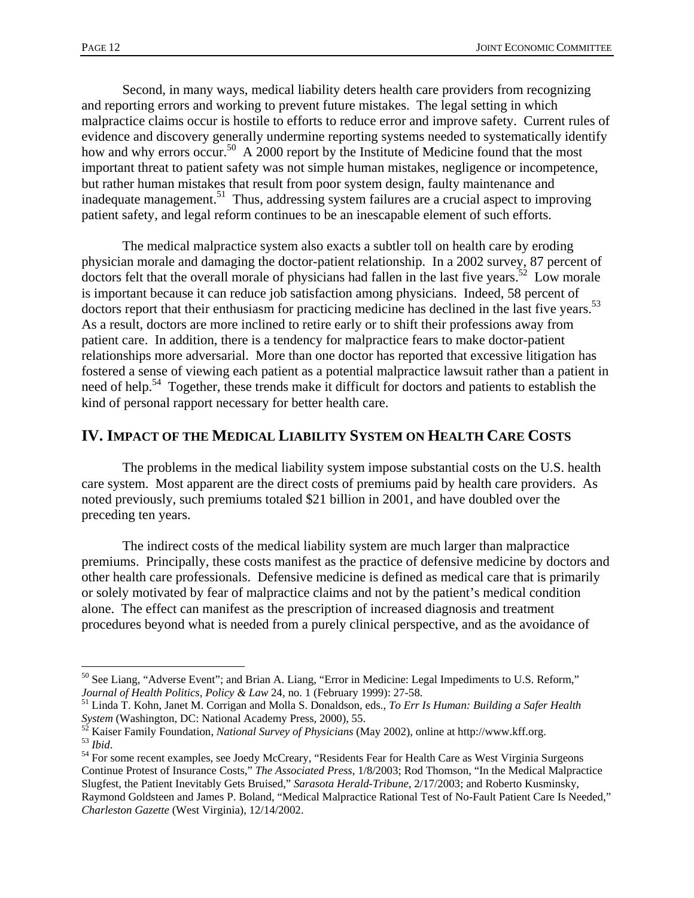$\overline{a}$ 

 Second, in many ways, medical liability deters health care providers from recognizing and reporting errors and working to prevent future mistakes. The legal setting in which malpractice claims occur is hostile to efforts to reduce error and improve safety. Current rules of evidence and discovery generally undermine reporting systems needed to systematically identify how and why errors occur.<sup>50</sup> A 2000 report by the Institute of Medicine found that the most important threat to patient safety was not simple human mistakes, negligence or incompetence, but rather human mistakes that result from poor system design, faulty maintenance and inadequate management.<sup>51</sup> Thus, addressing system failures are a crucial aspect to improving patient safety, and legal reform continues to be an inescapable element of such efforts.

 The medical malpractice system also exacts a subtler toll on health care by eroding physician morale and damaging the doctor-patient relationship. In a 2002 survey, 87 percent of doctors felt that the overall morale of physicians had fallen in the last five years.<sup>52</sup> Low morale is important because it can reduce job satisfaction among physicians. Indeed, 58 percent of doctors report that their enthusiasm for practicing medicine has declined in the last five years.<sup>53</sup> As a result, doctors are more inclined to retire early or to shift their professions away from patient care. In addition, there is a tendency for malpractice fears to make doctor-patient relationships more adversarial. More than one doctor has reported that excessive litigation has fostered a sense of viewing each patient as a potential malpractice lawsuit rather than a patient in need of help.<sup>54</sup> Together, these trends make it difficult for doctors and patients to establish the kind of personal rapport necessary for better health care.

## **IV. IMPACT OF THE MEDICAL LIABILITY SYSTEM ON HEALTH CARE COSTS**

 The problems in the medical liability system impose substantial costs on the U.S. health care system. Most apparent are the direct costs of premiums paid by health care providers. As noted previously, such premiums totaled \$21 billion in 2001, and have doubled over the preceding ten years.

 The indirect costs of the medical liability system are much larger than malpractice premiums. Principally, these costs manifest as the practice of defensive medicine by doctors and other health care professionals. Defensive medicine is defined as medical care that is primarily or solely motivated by fear of malpractice claims and not by the patient's medical condition alone. The effect can manifest as the prescription of increased diagnosis and treatment procedures beyond what is needed from a purely clinical perspective, and as the avoidance of

<sup>&</sup>lt;sup>50</sup> See Liang, "Adverse Event"; and Brian A. Liang, "Error in Medicine: Legal Impediments to U.S. Reform," *Journal of Health Politics, Policy & Law* 24, no. 1 (February 1999): 27-58.

<sup>&</sup>lt;sup>51</sup> Linda T. Kohn, Janet M. Corrigan and Molla S. Donaldson, eds., *To Err Is Human: Building a Safer Health System* (Washington, DC: National Academy Press, 2000), 55.<br><sup>52</sup> Keiser Femil, F.

<sup>&</sup>lt;sup>52</sup> Kaiser Family Foundation, *National Survey of Physicians* (May 2002), online at http://www.kff.org.<br><sup>53</sup> *Ibid.*<br><sup>54</sup> For some recent examples, see Joedy McCreary, "Residents Fear for Health Care as West Virginia Sur

Continue Protest of Insurance Costs," *The Associated Press*, 1/8/2003; Rod Thomson, "In the Medical Malpractice Slugfest, the Patient Inevitably Gets Bruised," *Sarasota Herald-Tribune*, 2/17/2003; and Roberto Kusminsky, Raymond Goldsteen and James P. Boland, "Medical Malpractice Rational Test of No-Fault Patient Care Is Needed," *Charleston Gazette* (West Virginia), 12/14/2002.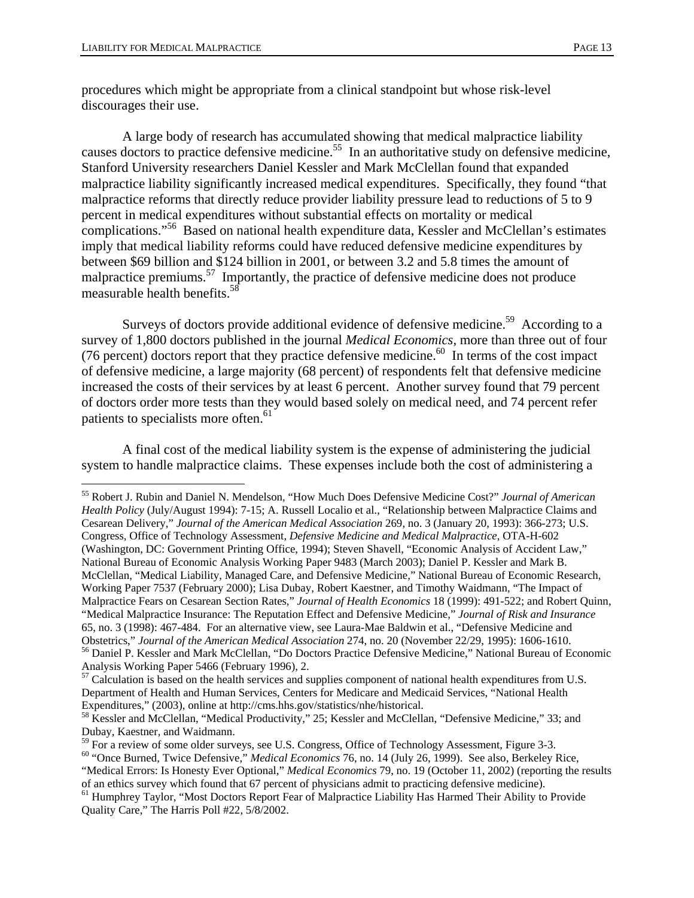procedures which might be appropriate from a clinical standpoint but whose risk-level discourages their use.

 A large body of research has accumulated showing that medical malpractice liability causes doctors to practice defensive medicine.<sup>55</sup> In an authoritative study on defensive medicine, Stanford University researchers Daniel Kessler and Mark McClellan found that expanded malpractice liability significantly increased medical expenditures. Specifically, they found "that malpractice reforms that directly reduce provider liability pressure lead to reductions of 5 to 9 percent in medical expenditures without substantial effects on mortality or medical complications."<sup>56</sup> Based on national health expenditure data, Kessler and McClellan's estimates imply that medical liability reforms could have reduced defensive medicine expenditures by between \$69 billion and \$124 billion in 2001, or between 3.2 and 5.8 times the amount of malpractice premiums.<sup>57</sup> Importantly, the practice of defensive medicine does not produce measurable health benefits.<sup>58</sup>

Surveys of doctors provide additional evidence of defensive medicine.<sup>59</sup> According to a survey of 1,800 doctors published in the journal *Medical Economics*, more than three out of four (76 percent) doctors report that they practice defensive medicine.<sup>60</sup> In terms of the cost impact of defensive medicine, a large majority (68 percent) of respondents felt that defensive medicine increased the costs of their services by at least 6 percent. Another survey found that 79 percent of doctors order more tests than they would based solely on medical need, and 74 percent refer patients to specialists more often.<sup>61</sup>

 A final cost of the medical liability system is the expense of administering the judicial system to handle malpractice claims. These expenses include both the cost of administering a

1

<sup>60</sup> "Once Burned, Twice Defensive," *Medical Economics* 76, no. 14 (July 26, 1999). See also, Berkeley Rice, "Medical Errors: Is Honesty Ever Optional," *Medical Economics* 79, no. 19 (October 11, 2002) (reporting the results of an ethics survey which found that 67 percent of physicians admit to practicing defensive medicine).

<sup>55</sup> Robert J. Rubin and Daniel N. Mendelson, "How Much Does Defensive Medicine Cost?" *Journal of American Health Policy* (July/August 1994): 7-15; A. Russell Localio et al., "Relationship between Malpractice Claims and Cesarean Delivery," *Journal of the American Medical Association* 269, no. 3 (January 20, 1993): 366-273; U.S. Congress, Office of Technology Assessment, *Defensive Medicine and Medical Malpractice*, OTA-H-602 (Washington, DC: Government Printing Office, 1994); Steven Shavell, "Economic Analysis of Accident Law," National Bureau of Economic Analysis Working Paper 9483 (March 2003); Daniel P. Kessler and Mark B. McClellan, "Medical Liability, Managed Care, and Defensive Medicine," National Bureau of Economic Research, Working Paper 7537 (February 2000); Lisa Dubay, Robert Kaestner, and Timothy Waidmann, "The Impact of Malpractice Fears on Cesarean Section Rates," *Journal of Health Economics* 18 (1999): 491-522; and Robert Quinn, "Medical Malpractice Insurance: The Reputation Effect and Defensive Medicine," *Journal of Risk and Insurance*  65, no. 3 (1998): 467-484. For an alternative view, see Laura-Mae Baldwin et al., "Defensive Medicine and <sup>56</sup> Daniel P. Kessler and Mark McClellan, "Do Doctors Practice Defensive Medicine," National Bureau of Economic

Analysis Working Paper 5466 (February 1996), 2.

<sup>&</sup>lt;sup>57</sup> Calculation is based on the health services and supplies component of national health expenditures from U.S. Department of Health and Human Services, Centers for Medicare and Medicaid Services, "National Health Expenditures," (2003), online at http://cms.hhs.gov/statistics/nhe/historical.

<sup>&</sup>lt;sup>58</sup> Kessler and McClellan, "Medical Productivity," 25; Kessler and McClellan, "Defensive Medicine," 33; and Dubay, Kaestner, and Waidmann.<br><sup>59</sup> For a review of some older surveys, see U.S. Congress, Office of Technology Assessment, Figure 3-3.

<sup>&</sup>lt;sup>61</sup> Humphrey Taylor, "Most Doctors Report Fear of Malpractice Liability Has Harmed Their Ability to Provide Quality Care," The Harris Poll #22, 5/8/2002.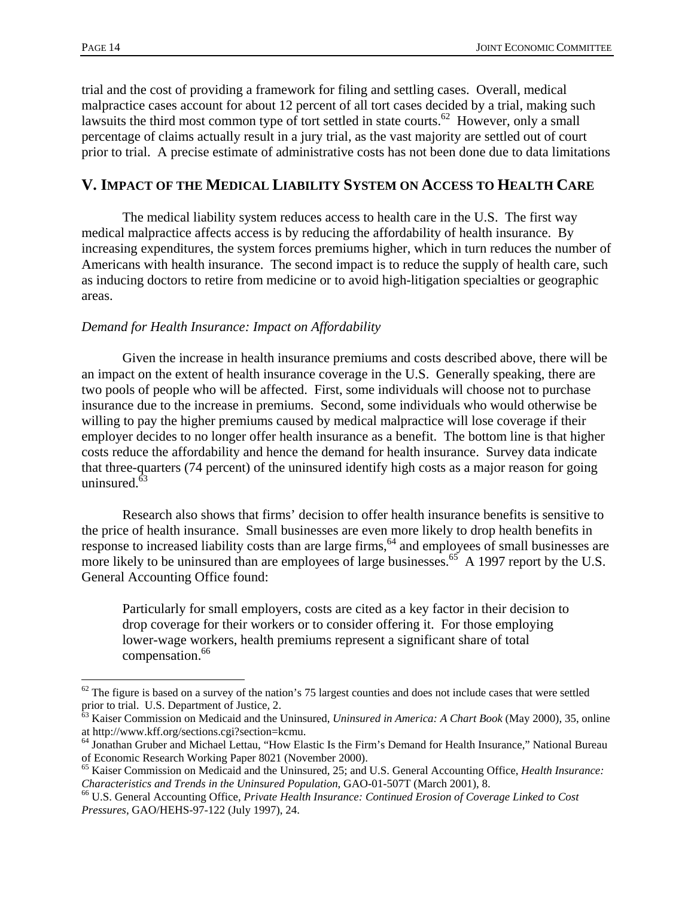$\overline{a}$ 

trial and the cost of providing a framework for filing and settling cases. Overall, medical malpractice cases account for about 12 percent of all tort cases decided by a trial, making such lawsuits the third most common type of tort settled in state courts.<sup>62</sup> However, only a small percentage of claims actually result in a jury trial, as the vast majority are settled out of court prior to trial. A precise estimate of administrative costs has not been done due to data limitations

## **V. IMPACT OF THE MEDICAL LIABILITY SYSTEM ON ACCESS TO HEALTH CARE**

 The medical liability system reduces access to health care in the U.S. The first way medical malpractice affects access is by reducing the affordability of health insurance. By increasing expenditures, the system forces premiums higher, which in turn reduces the number of Americans with health insurance. The second impact is to reduce the supply of health care, such as inducing doctors to retire from medicine or to avoid high-litigation specialties or geographic areas.

#### *Demand for Health Insurance: Impact on Affordability*

 Given the increase in health insurance premiums and costs described above, there will be an impact on the extent of health insurance coverage in the U.S. Generally speaking, there are two pools of people who will be affected. First, some individuals will choose not to purchase insurance due to the increase in premiums. Second, some individuals who would otherwise be willing to pay the higher premiums caused by medical malpractice will lose coverage if their employer decides to no longer offer health insurance as a benefit. The bottom line is that higher costs reduce the affordability and hence the demand for health insurance. Survey data indicate that three-quarters (74 percent) of the uninsured identify high costs as a major reason for going uninsured.<sup>63</sup>

 Research also shows that firms' decision to offer health insurance benefits is sensitive to the price of health insurance. Small businesses are even more likely to drop health benefits in response to increased liability costs than are large firms, <sup>64</sup> and employees of small businesses are more likely to be uninsured than are employees of large businesses.<sup>65</sup> A 1997 report by the U.S. General Accounting Office found:

Particularly for small employers, costs are cited as a key factor in their decision to drop coverage for their workers or to consider offering it. For those employing lower-wage workers, health premiums represent a significant share of total compensation.<sup>66</sup>

 $62$  The figure is based on a survey of the nation's 75 largest counties and does not include cases that were settled prior to trial. U.S. Department of Justice, 2.

<sup>63</sup> Kaiser Commission on Medicaid and the Uninsured, *Uninsured in America: A Chart Book* (May 2000), 35, online at http://www.kff.org/sections.cgi?section=kcmu.

<sup>64</sup> Jonathan Gruber and Michael Lettau, "How Elastic Is the Firm's Demand for Health Insurance," National Bureau of Economic Research Working Paper 8021 (November 2000).

<sup>65</sup> Kaiser Commission on Medicaid and the Uninsured, 25; and U.S. General Accounting Office, *Health Insurance: Characteristics and Trends in the Uninsured Population*, GAO-01-507T (March 2001), 8.<br><sup>66</sup> U.S. General Accounting Office, *Private Health Insurance: Continued Erosion of Coverage Linked to Cost* 

*Pressures*, GAO/HEHS-97-122 (July 1997), 24.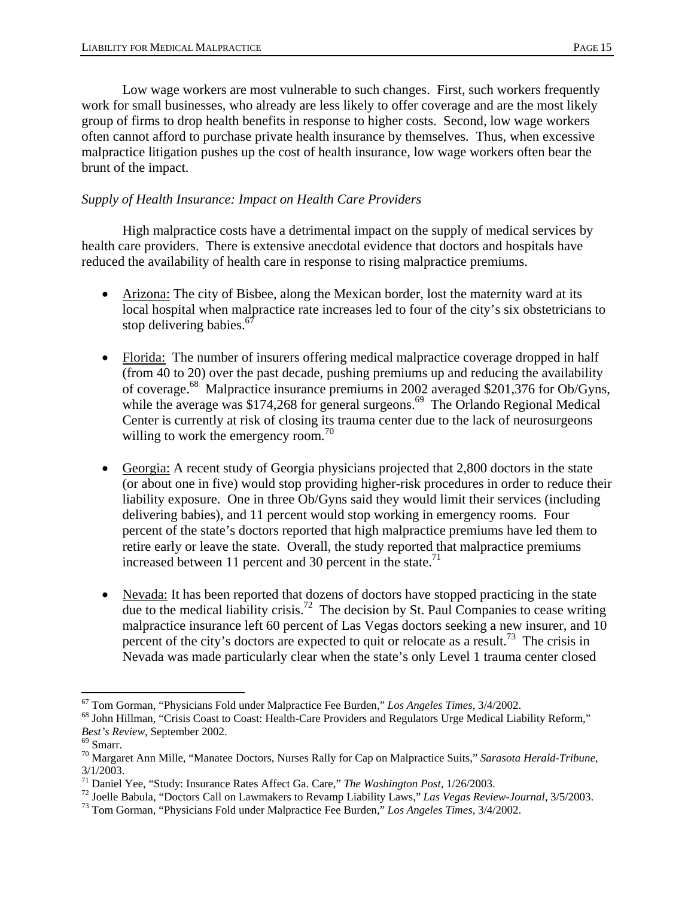Low wage workers are most vulnerable to such changes. First, such workers frequently work for small businesses, who already are less likely to offer coverage and are the most likely group of firms to drop health benefits in response to higher costs. Second, low wage workers often cannot afford to purchase private health insurance by themselves. Thus, when excessive malpractice litigation pushes up the cost of health insurance, low wage workers often bear the brunt of the impact.

#### *Supply of Health Insurance: Impact on Health Care Providers*

 High malpractice costs have a detrimental impact on the supply of medical services by health care providers. There is extensive anecdotal evidence that doctors and hospitals have reduced the availability of health care in response to rising malpractice premiums.

- Arizona: The city of Bisbee, along the Mexican border, lost the maternity ward at its local hospital when malpractice rate increases led to four of the city's six obstetricians to stop delivering babies.<sup>67</sup>
- Florida: The number of insurers offering medical malpractice coverage dropped in half (from 40 to 20) over the past decade, pushing premiums up and reducing the availability of coverage.68 Malpractice insurance premiums in 2002 averaged \$201,376 for Ob/Gyns, while the average was \$174,268 for general surgeons.<sup>69</sup> The Orlando Regional Medical Center is currently at risk of closing its trauma center due to the lack of neurosurgeons willing to work the emergency room.<sup>70</sup>
- Georgia: A recent study of Georgia physicians projected that 2,800 doctors in the state (or about one in five) would stop providing higher-risk procedures in order to reduce their liability exposure. One in three Ob/Gyns said they would limit their services (including delivering babies), and 11 percent would stop working in emergency rooms. Four percent of the state's doctors reported that high malpractice premiums have led them to retire early or leave the state. Overall, the study reported that malpractice premiums increased between 11 percent and 30 percent in the state.<sup>71</sup>
- Nevada: It has been reported that dozens of doctors have stopped practicing in the state due to the medical liability crisis.<sup>72</sup> The decision by St. Paul Companies to cease writing malpractice insurance left 60 percent of Las Vegas doctors seeking a new insurer, and 10 percent of the city's doctors are expected to quit or relocate as a result.<sup>73</sup> The crisis in Nevada was made particularly clear when the state's only Level 1 trauma center closed

 $\overline{a}$ 

<sup>&</sup>lt;sup>67</sup> Tom Gorman, "Physicians Fold under Malpractice Fee Burden," *Los Angeles Times*, 3/4/2002.<br><sup>68</sup> John Hillman, "Crisis Coast to Coast: Health-Care Providers and Regulators Urge Medical Liability Reform," *Best's Review*, September 2002. 69 Smarr.

<sup>70</sup> Margaret Ann Mille, "Manatee Doctors, Nurses Rally for Cap on Malpractice Suits," *Sarasota Herald-Tribune*, 3/1/2003.

<sup>&</sup>lt;sup>71</sup> Daniel Yee, "Study: Insurance Rates Affect Ga. Care," *The Washington Post*, 1/26/2003.<br><sup>72</sup> Joelle Babula, "Doctors Call on Lawmakers to Revamp Liability Laws," *Las Vegas Review-Journal*, 3/5/2003.<br><sup>73</sup> Tom Gorman,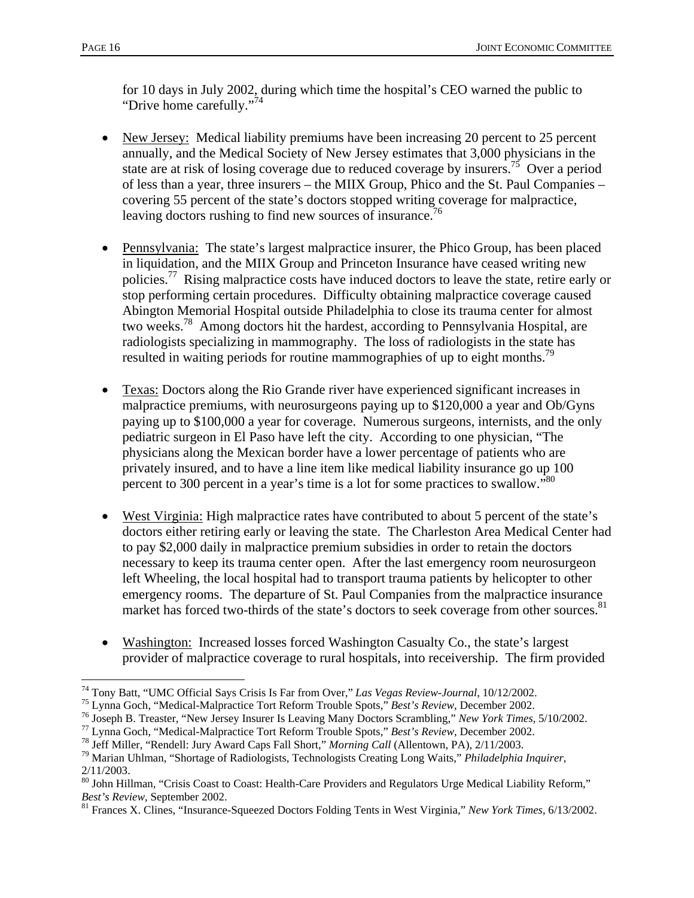for 10 days in July 2002, during which time the hospital's CEO warned the public to "Drive home carefully."<sup>74</sup>

- New Jersey: Medical liability premiums have been increasing 20 percent to 25 percent annually, and the Medical Society of New Jersey estimates that 3,000 physicians in the state are at risk of losing coverage due to reduced coverage by insurers.<sup>75</sup> Over a period of less than a year, three insurers – the MIIX Group, Phico and the St. Paul Companies – covering 55 percent of the state's doctors stopped writing coverage for malpractice, leaving doctors rushing to find new sources of insurance.<sup>76</sup>
- Pennsylvania: The state's largest malpractice insurer, the Phico Group, has been placed in liquidation, and the MIIX Group and Princeton Insurance have ceased writing new policies.<sup>77</sup> Rising malpractice costs have induced doctors to leave the state, retire early or stop performing certain procedures. Difficulty obtaining malpractice coverage caused Abington Memorial Hospital outside Philadelphia to close its trauma center for almost two weeks.78 Among doctors hit the hardest, according to Pennsylvania Hospital, are radiologists specializing in mammography. The loss of radiologists in the state has resulted in waiting periods for routine mammographies of up to eight months.<sup>79</sup>
- Texas: Doctors along the Rio Grande river have experienced significant increases in malpractice premiums, with neurosurgeons paying up to \$120,000 a year and Ob/Gyns paying up to \$100,000 a year for coverage. Numerous surgeons, internists, and the only pediatric surgeon in El Paso have left the city. According to one physician, "The physicians along the Mexican border have a lower percentage of patients who are privately insured, and to have a line item like medical liability insurance go up 100 percent to 300 percent in a year's time is a lot for some practices to swallow."<sup>80</sup>
- West Virginia: High malpractice rates have contributed to about 5 percent of the state's doctors either retiring early or leaving the state. The Charleston Area Medical Center had to pay \$2,000 daily in malpractice premium subsidies in order to retain the doctors necessary to keep its trauma center open. After the last emergency room neurosurgeon left Wheeling, the local hospital had to transport trauma patients by helicopter to other emergency rooms. The departure of St. Paul Companies from the malpractice insurance market has forced two-thirds of the state's doctors to seek coverage from other sources.<sup>81</sup>
- Washington: Increased losses forced Washington Casualty Co., the state's largest provider of malpractice coverage to rural hospitals, into receivership. The firm provided

 $\overline{a}$ 

<sup>&</sup>lt;sup>74</sup> Tony Batt, "UMC Official Says Crisis Is Far from Over," *Las Vegas Review-Journal*, 10/12/2002.<br><sup>75</sup> Lynna Goch, "Medical-Malpractice Tort Reform Trouble Spots," *Best's Review*, December 2002.<br><sup>76</sup> Joseph B. Treaste

<sup>2/11/2003.</sup> 

<sup>&</sup>lt;sup>80</sup> John Hillman, "Crisis Coast to Coast: Health-Care Providers and Regulators Urge Medical Liability Reform," *Best's Review*, September 2002.<br><sup>81</sup> Frances X. Clines, "Insurance-Squeezed Doctors Folding Tents in West Virginia," *New York Times*, 6/13/2002.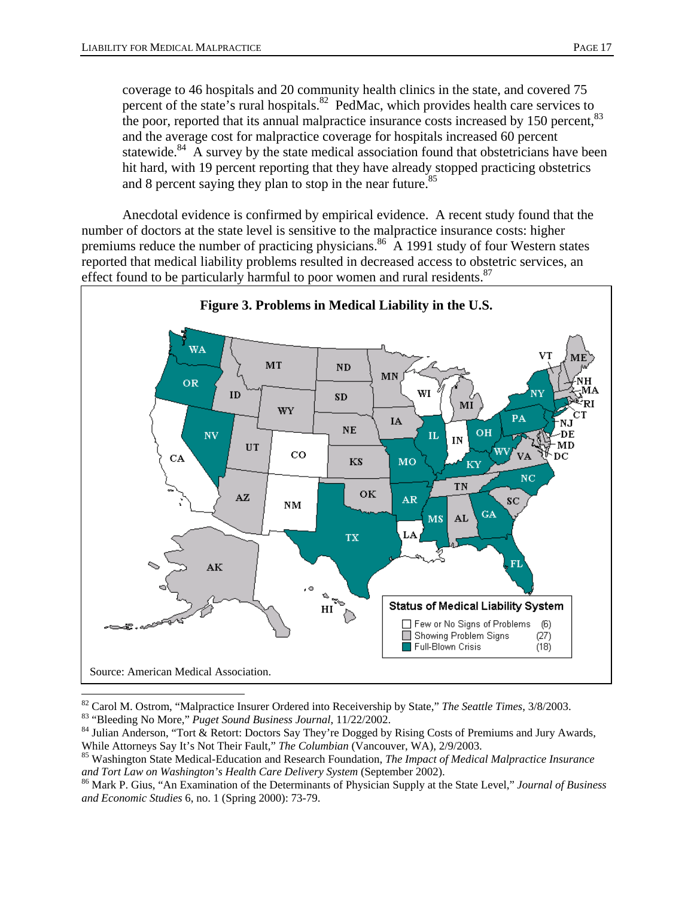coverage to 46 hospitals and 20 community health clinics in the state, and covered 75 percent of the state's rural hospitals.<sup>82</sup> PedMac, which provides health care services to the poor, reported that its annual malpractice insurance costs increased by 150 percent,<sup>83</sup> and the average cost for malpractice coverage for hospitals increased 60 percent statewide.<sup>84</sup> A survey by the state medical association found that obstetricians have been hit hard, with 19 percent reporting that they have already stopped practicing obstetrics and 8 percent saying they plan to stop in the near future.<sup>85</sup>

 Anecdotal evidence is confirmed by empirical evidence. A recent study found that the number of doctors at the state level is sensitive to the malpractice insurance costs: higher premiums reduce the number of practicing physicians.<sup>86</sup> A 1991 study of four Western states reported that medical liability problems resulted in decreased access to obstetric services, an effect found to be particularly harmful to poor women and rural residents.<sup>87</sup>



<sup>&</sup>lt;sup>82</sup> Carol M. Ostrom, "Malpractice Insurer Ordered into Receivership by State," *The Seattle Times*,  $3/8/2003$ .<br><sup>83</sup> "Bleeding No More," *Puget Sound Business Journal*,  $11/22/2002$ .<br><sup>84</sup> Julian Anderson, "Tort & Retort:

While Attorneys Say It's Not Their Fault," *The Columbian* (Vancouver, WA), 2/9/2003.<br><sup>85</sup> Washington State Medical-Education and Research Foundation, *The Impact of Medical Malpractice Insurance and Tort Law on Washingt* 

<sup>&</sup>lt;sup>86</sup> Mark P. Gius, "An Examination of the Determinants of Physician Supply at the State Level," *Journal of Business and Economic Studies* 6, no. 1 (Spring 2000): 73-79.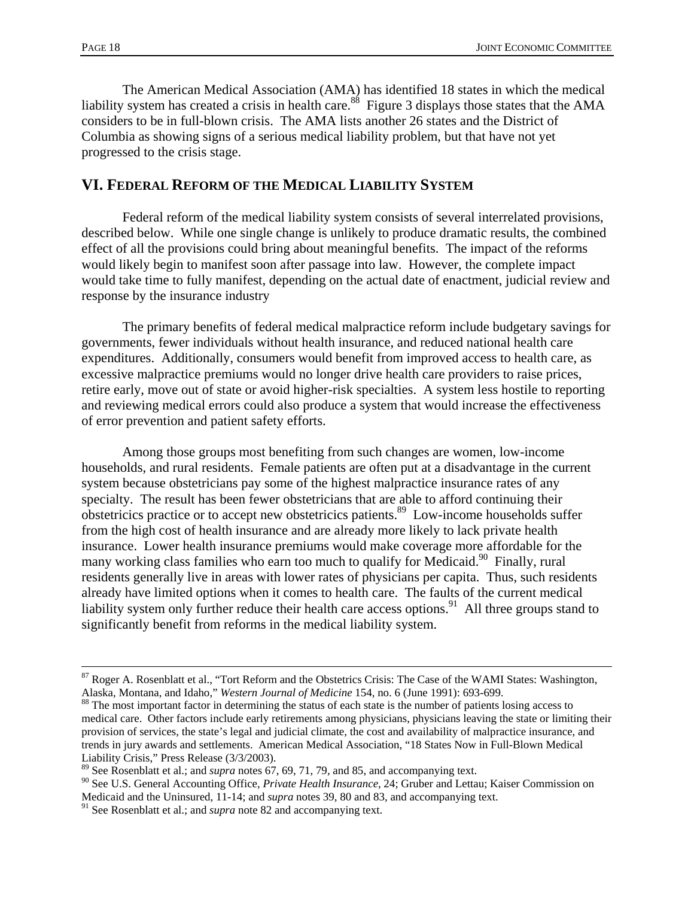The American Medical Association (AMA) has identified 18 states in which the medical liability system has created a crisis in health care.<sup>88</sup> Figure 3 displays those states that the AMA considers to be in full-blown crisis. The AMA lists another 26 states and the District of Columbia as showing signs of a serious medical liability problem, but that have not yet progressed to the crisis stage.

## **VI. FEDERAL REFORM OF THE MEDICAL LIABILITY SYSTEM**

 Federal reform of the medical liability system consists of several interrelated provisions, described below. While one single change is unlikely to produce dramatic results, the combined effect of all the provisions could bring about meaningful benefits. The impact of the reforms would likely begin to manifest soon after passage into law. However, the complete impact would take time to fully manifest, depending on the actual date of enactment, judicial review and response by the insurance industry

 The primary benefits of federal medical malpractice reform include budgetary savings for governments, fewer individuals without health insurance, and reduced national health care expenditures. Additionally, consumers would benefit from improved access to health care, as excessive malpractice premiums would no longer drive health care providers to raise prices, retire early, move out of state or avoid higher-risk specialties. A system less hostile to reporting and reviewing medical errors could also produce a system that would increase the effectiveness of error prevention and patient safety efforts.

 Among those groups most benefiting from such changes are women, low-income households, and rural residents. Female patients are often put at a disadvantage in the current system because obstetricians pay some of the highest malpractice insurance rates of any specialty. The result has been fewer obstetricians that are able to afford continuing their obstetricics practice or to accept new obstetricics patients.<sup>89</sup> Low-income households suffer from the high cost of health insurance and are already more likely to lack private health insurance. Lower health insurance premiums would make coverage more affordable for the many working class families who earn too much to qualify for Medicaid.<sup>90</sup> Finally, rural residents generally live in areas with lower rates of physicians per capita. Thus, such residents already have limited options when it comes to health care. The faults of the current medical liability system only further reduce their health care access options.<sup>91</sup> All three groups stand to significantly benefit from reforms in the medical liability system.

<sup>&</sup>lt;sup>87</sup> Roger A. Rosenblatt et al., "Tort Reform and the Obstetrics Crisis: The Case of the WAMI States: Washington, Alaska, Montana, and Idaho," Western Journal of Medicine 154, no. 6 (June 1991): 693-699.

<sup>&</sup>lt;sup>88</sup> The most important factor in determining the status of each state is the number of patients losing access to medical care. Other factors include early retirements among physicians, physicians leaving the state or limiting their provision of services, the state's legal and judicial climate, the cost and availability of malpractice insurance, and trends in jury awards and settlements. American Medical Association, "18 States Now in Full-Blown Medical Liability Crisis," Press Release (3/3/2003).

<sup>89</sup> See Rosenblatt et al.; and *supra* notes 67, 69, 71, 79, and 85, and accompanying text.

<sup>90</sup> See U.S. General Accounting Office, *Private Health Insurance*, 24; Gruber and Lettau; Kaiser Commission on Medicaid and the Uninsured, 11-14; and *supra* notes 39, 80 and 83, and accompanying text.

<sup>&</sup>lt;sup>91</sup> See Rosenblatt et al.; and *supra* note 82 and accompanying text.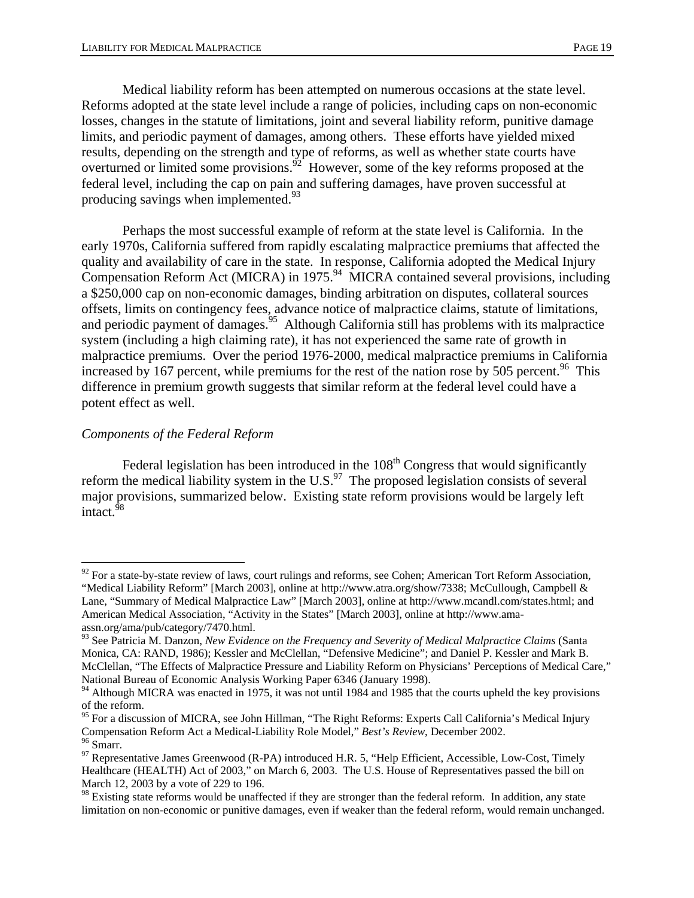Medical liability reform has been attempted on numerous occasions at the state level. Reforms adopted at the state level include a range of policies, including caps on non-economic losses, changes in the statute of limitations, joint and several liability reform, punitive damage limits, and periodic payment of damages, among others. These efforts have yielded mixed results, depending on the strength and type of reforms, as well as whether state courts have overturned or limited some provisions.<sup> $92$ </sup> However, some of the key reforms proposed at the federal level, including the cap on pain and suffering damages, have proven successful at producing savings when implemented. $93$ 

 Perhaps the most successful example of reform at the state level is California. In the early 1970s, California suffered from rapidly escalating malpractice premiums that affected the quality and availability of care in the state. In response, California adopted the Medical Injury Compensation Reform Act (MICRA) in 1975.<sup>94</sup> MICRA contained several provisions, including a \$250,000 cap on non-economic damages, binding arbitration on disputes, collateral sources offsets, limits on contingency fees, advance notice of malpractice claims, statute of limitations, and periodic payment of damages.<sup>95</sup> Although California still has problems with its malpractice system (including a high claiming rate), it has not experienced the same rate of growth in malpractice premiums. Over the period 1976-2000, medical malpractice premiums in California increased by 167 percent, while premiums for the rest of the nation rose by 505 percent.<sup>96</sup> This difference in premium growth suggests that similar reform at the federal level could have a potent effect as well.

#### *Components of the Federal Reform*

 $\overline{a}$ 

Federal legislation has been introduced in the  $108<sup>th</sup>$  Congress that would significantly reform the medical liability system in the U.S. $^{97}$  The proposed legislation consists of several major provisions, summarized below. Existing state reform provisions would be largely left intact. $98$ 

 $92$  For a state-by-state review of laws, court rulings and reforms, see Cohen; American Tort Reform Association, "Medical Liability Reform" [March 2003], online at http://www.atra.org/show/7338; McCullough, Campbell & Lane, "Summary of Medical Malpractice Law" [March 2003], online at http://www.mcandl.com/states.html; and American Medical Association, "Activity in the States" [March 2003], online at http://www.amaassn.org/ama/pub/category/7470.html.

<sup>93</sup> See Patricia M. Danzon, *New Evidence on the Frequency and Severity of Medical Malpractice Claims* (Santa Monica, CA: RAND, 1986); Kessler and McClellan, "Defensive Medicine"; and Daniel P. Kessler and Mark B. McClellan, "The Effects of Malpractice Pressure and Liability Reform on Physicians' Perceptions of Medical Care," National Bureau of Economic Analysis Working Paper 6346 (January 1998).

<sup>&</sup>lt;sup>94</sup> Although MICRA was enacted in 1975, it was not until 1984 and 1985 that the courts upheld the key provisions of the reform.

<sup>&</sup>lt;sup>95</sup> For a discussion of MICRA, see John Hillman, "The Right Reforms: Experts Call California's Medical Injury Compensation Reform Act a Medical-Liability Role Model," *Best's Review*, December 2002.<br><sup>96</sup> Smarr.

<sup>&</sup>lt;sup>97</sup> Representative James Greenwood (R-PA) introduced H.R. 5, "Help Efficient, Accessible, Low-Cost, Timely Healthcare (HEALTH) Act of 2003," on March 6, 2003. The U.S. House of Representatives passed the bill on March 12, 2003 by a vote of 229 to 196.

<sup>&</sup>lt;sup>98</sup> Existing state reforms would be unaffected if they are stronger than the federal reform. In addition, any state limitation on non-economic or punitive damages, even if weaker than the federal reform, would remain unchanged.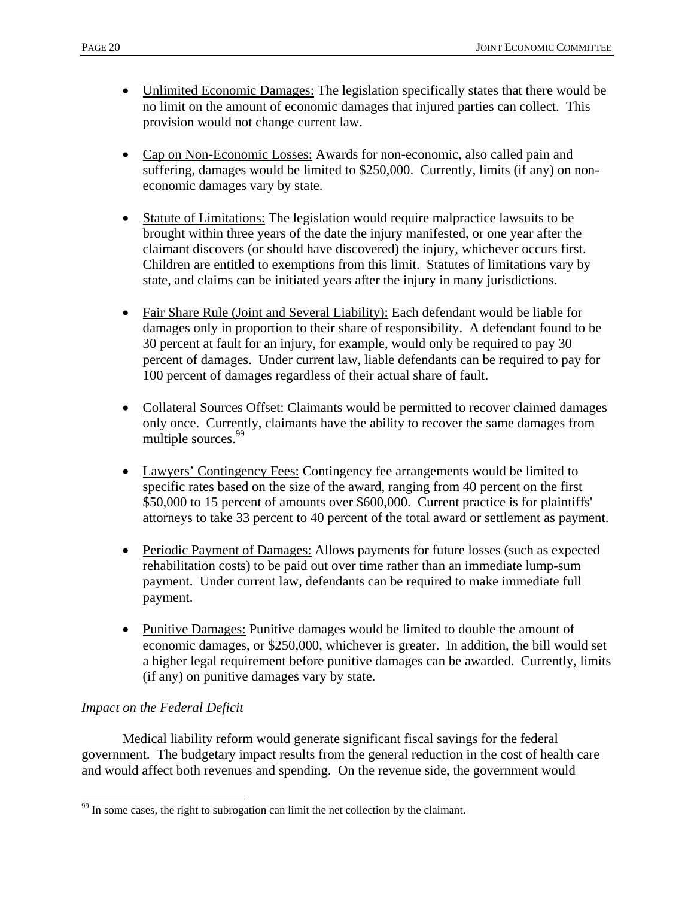- Unlimited Economic Damages: The legislation specifically states that there would be no limit on the amount of economic damages that injured parties can collect. This provision would not change current law.
- Cap on Non-Economic Losses: Awards for non-economic, also called pain and suffering, damages would be limited to \$250,000. Currently, limits (if any) on noneconomic damages vary by state.
- Statute of Limitations: The legislation would require malpractice lawsuits to be brought within three years of the date the injury manifested, or one year after the claimant discovers (or should have discovered) the injury, whichever occurs first. Children are entitled to exemptions from this limit. Statutes of limitations vary by state, and claims can be initiated years after the injury in many jurisdictions.
- Fair Share Rule (Joint and Several Liability): Each defendant would be liable for damages only in proportion to their share of responsibility. A defendant found to be 30 percent at fault for an injury, for example, would only be required to pay 30 percent of damages. Under current law, liable defendants can be required to pay for 100 percent of damages regardless of their actual share of fault.
- Collateral Sources Offset: Claimants would be permitted to recover claimed damages only once. Currently, claimants have the ability to recover the same damages from multiple sources.<sup>99</sup>
- Lawyers' Contingency Fees: Contingency fee arrangements would be limited to specific rates based on the size of the award, ranging from 40 percent on the first \$50,000 to 15 percent of amounts over \$600,000. Current practice is for plaintiffs' attorneys to take 33 percent to 40 percent of the total award or settlement as payment.
- Periodic Payment of Damages: Allows payments for future losses (such as expected rehabilitation costs) to be paid out over time rather than an immediate lump-sum payment. Under current law, defendants can be required to make immediate full payment.
- Punitive Damages: Punitive damages would be limited to double the amount of economic damages, or \$250,000, whichever is greater. In addition, the bill would set a higher legal requirement before punitive damages can be awarded. Currently, limits (if any) on punitive damages vary by state.

## *Impact on the Federal Deficit*

 $\overline{a}$ 

 Medical liability reform would generate significant fiscal savings for the federal government. The budgetary impact results from the general reduction in the cost of health care and would affect both revenues and spending. On the revenue side, the government would

 $99$  In some cases, the right to subrogation can limit the net collection by the claimant.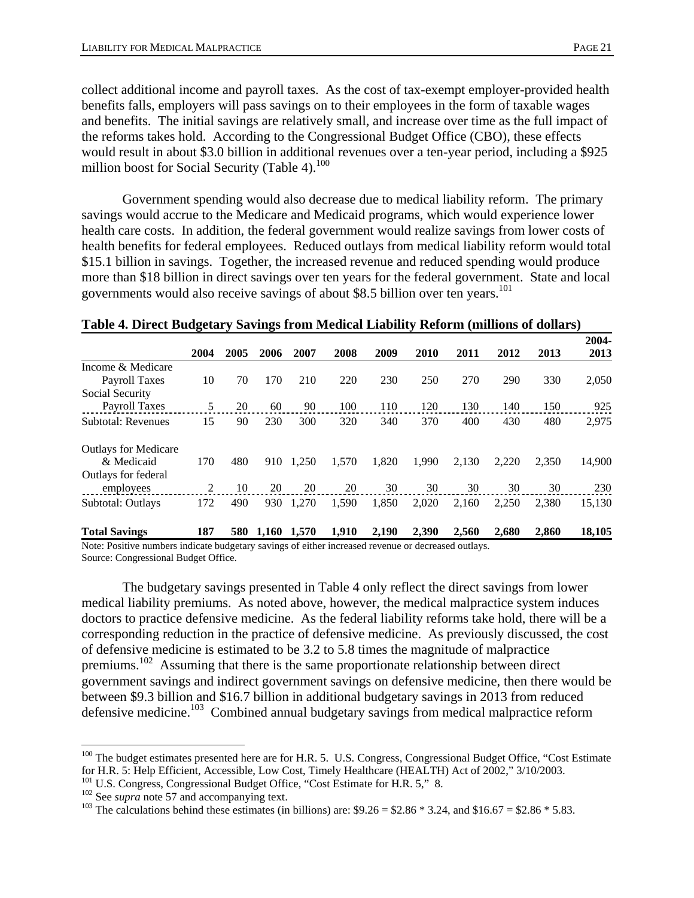collect additional income and payroll taxes. As the cost of tax-exempt employer-provided health benefits falls, employers will pass savings on to their employees in the form of taxable wages and benefits. The initial savings are relatively small, and increase over time as the full impact of the reforms takes hold. According to the Congressional Budget Office (CBO), these effects would result in about \$3.0 billion in additional revenues over a ten-year period, including a \$925 million boost for Social Security (Table 4). $100$ 

 Government spending would also decrease due to medical liability reform. The primary savings would accrue to the Medicare and Medicaid programs, which would experience lower health care costs. In addition, the federal government would realize savings from lower costs of health benefits for federal employees. Reduced outlays from medical liability reform would total \$15.1 billion in savings. Together, the increased revenue and reduced spending would produce more than \$18 billion in direct savings over ten years for the federal government. State and local governments would also receive savings of about \$8.5 billion over ten years.<sup>101</sup>

|                             |      |      |       |       |       |       |       |       |       |       |        | 2004- |
|-----------------------------|------|------|-------|-------|-------|-------|-------|-------|-------|-------|--------|-------|
|                             | 2004 | 2005 | 2006  | 2007  | 2008  | 2009  | 2010  | 2011  | 2012  | 2013  | 2013   |       |
| Income & Medicare           |      |      |       |       |       |       |       |       |       |       |        |       |
| Payroll Taxes               | 10   | 70   | 170   | 210   | 220   | 230   | 250   | 270   | 290   | 330   | 2,050  |       |
| Social Security             |      |      |       |       |       |       |       |       |       |       |        |       |
| Payroll Taxes               | 5    | 20   | 60    | 90    | 100   | 110   | 120   | 130   | 140   | 150   | 925    |       |
| <b>Subtotal: Revenues</b>   | 15   | 90   | 230   | 300   | 320   | 340   | 370   | 400   | 430   | 480   | 2,975  |       |
| <b>Outlays for Medicare</b> |      |      |       |       |       |       |       |       |       |       |        |       |
| & Medicaid                  | 170  | 480  | 910   | 1.250 | 1.570 | 1.820 | 1.990 | 2.130 | 2.220 | 2.350 | 14,900 |       |
| Outlays for federal         |      |      |       |       |       |       |       |       |       |       |        |       |
| employees                   | 2    | 10   | 20    | 20    | 20    | 30    | 30    | 30    | 30    | 30    | 230    |       |
| Subtotal: Outlays           | 172  | 490  | 930   | 1,270 | 1,590 | 1,850 | 2,020 | 2.160 | 2,250 | 2,380 | 15,130 |       |
| <b>Total Savings</b>        | 187  | 580  | 1,160 | 1,570 | 1,910 | 2,190 | 2,390 | 2,560 | 2,680 | 2,860 | 18,105 |       |

#### **Table 4. Direct Budgetary Savings from Medical Liability Reform (millions of dollars)**

Note: Positive numbers indicate budgetary savings of either increased revenue or decreased outlays. Source: Congressional Budget Office.

 The budgetary savings presented in Table 4 only reflect the direct savings from lower medical liability premiums. As noted above, however, the medical malpractice system induces doctors to practice defensive medicine. As the federal liability reforms take hold, there will be a corresponding reduction in the practice of defensive medicine. As previously discussed, the cost of defensive medicine is estimated to be 3.2 to 5.8 times the magnitude of malpractice premiums.<sup>102</sup> Assuming that there is the same proportionate relationship between direct government savings and indirect government savings on defensive medicine, then there would be between \$9.3 billion and \$16.7 billion in additional budgetary savings in 2013 from reduced defensive medicine.<sup>103</sup> Combined annual budgetary savings from medical malpractice reform

 $\overline{a}$ 

<sup>&</sup>lt;sup>100</sup> The budget estimates presented here are for H.R. 5. U.S. Congress, Congressional Budget Office, "Cost Estimate for H.R. 5: Help Efficient, Accessible, Low Cost, Timely Healthcare (HEALTH) Act of 2002," 3/10/2003.<br><sup>101</sup> U.S. Congress, Congressional Budget Office, "Cost Estimate for H.R. 5," 8.<br><sup>102</sup> See *supra* note 57 and accompan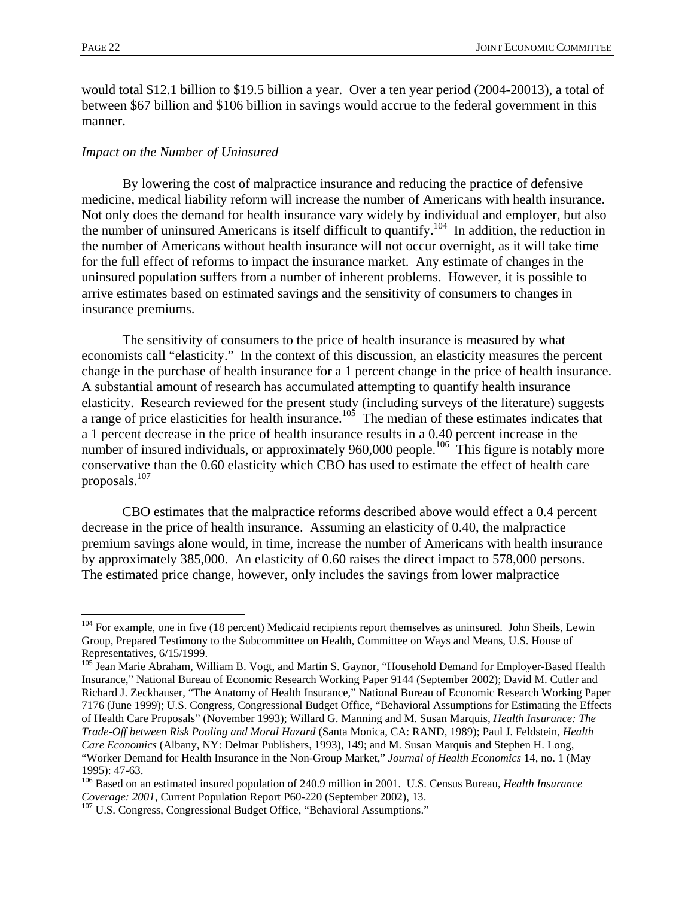$\overline{a}$ 

would total \$12.1 billion to \$19.5 billion a year. Over a ten year period (2004-20013), a total of between \$67 billion and \$106 billion in savings would accrue to the federal government in this manner.

#### *Impact on the Number of Uninsured*

 By lowering the cost of malpractice insurance and reducing the practice of defensive medicine, medical liability reform will increase the number of Americans with health insurance. Not only does the demand for health insurance vary widely by individual and employer, but also the number of uninsured Americans is itself difficult to quantify.104 In addition, the reduction in the number of Americans without health insurance will not occur overnight, as it will take time for the full effect of reforms to impact the insurance market. Any estimate of changes in the uninsured population suffers from a number of inherent problems. However, it is possible to arrive estimates based on estimated savings and the sensitivity of consumers to changes in insurance premiums.

 The sensitivity of consumers to the price of health insurance is measured by what economists call "elasticity." In the context of this discussion, an elasticity measures the percent change in the purchase of health insurance for a 1 percent change in the price of health insurance. A substantial amount of research has accumulated attempting to quantify health insurance elasticity. Research reviewed for the present study (including surveys of the literature) suggests a range of price elasticities for health insurance.<sup>105</sup> The median of these estimates indicates that a 1 percent decrease in the price of health insurance results in a 0.40 percent increase in the number of insured individuals, or approximately 960,000 people.<sup>106</sup> This figure is notably more conservative than the 0.60 elasticity which CBO has used to estimate the effect of health care proposals.107

 CBO estimates that the malpractice reforms described above would effect a 0.4 percent decrease in the price of health insurance. Assuming an elasticity of 0.40, the malpractice premium savings alone would, in time, increase the number of Americans with health insurance by approximately 385,000. An elasticity of 0.60 raises the direct impact to 578,000 persons. The estimated price change, however, only includes the savings from lower malpractice

<sup>&</sup>lt;sup>104</sup> For example, one in five (18 percent) Medicaid recipients report themselves as uninsured. John Sheils, Lewin Group, Prepared Testimony to the Subcommittee on Health, Committee on Ways and Means, U.S. House of Representatives, 6/15/1999.

<sup>&</sup>lt;sup>105</sup> Jean Marie Abraham, William B. Vogt, and Martin S. Gaynor, "Household Demand for Employer-Based Health Insurance," National Bureau of Economic Research Working Paper 9144 (September 2002); David M. Cutler and Richard J. Zeckhauser, "The Anatomy of Health Insurance," National Bureau of Economic Research Working Paper 7176 (June 1999); U.S. Congress, Congressional Budget Office, "Behavioral Assumptions for Estimating the Effects of Health Care Proposals" (November 1993); Willard G. Manning and M. Susan Marquis, *Health Insurance: The Trade-Off between Risk Pooling and Moral Hazard* (Santa Monica, CA: RAND, 1989); Paul J. Feldstein, *Health Care Economics* (Albany, NY: Delmar Publishers, 1993), 149; and M. Susan Marquis and Stephen H. Long, "Worker Demand for Health Insurance in the Non-Group Market," *Journal of Health Economics* 14, no. 1 (May 1995): 47-63.

<sup>&</sup>lt;sup>106</sup> Based on an estimated insured population of 240.9 million in 2001. U.S. Census Bureau, *Health Insurance* Coverage: 2001, Current Population Report P60-220 (September 2002), 13.

<sup>&</sup>lt;sup>107</sup> U.S. Congress, Congressional Budget Office, "Behavioral Assumptions."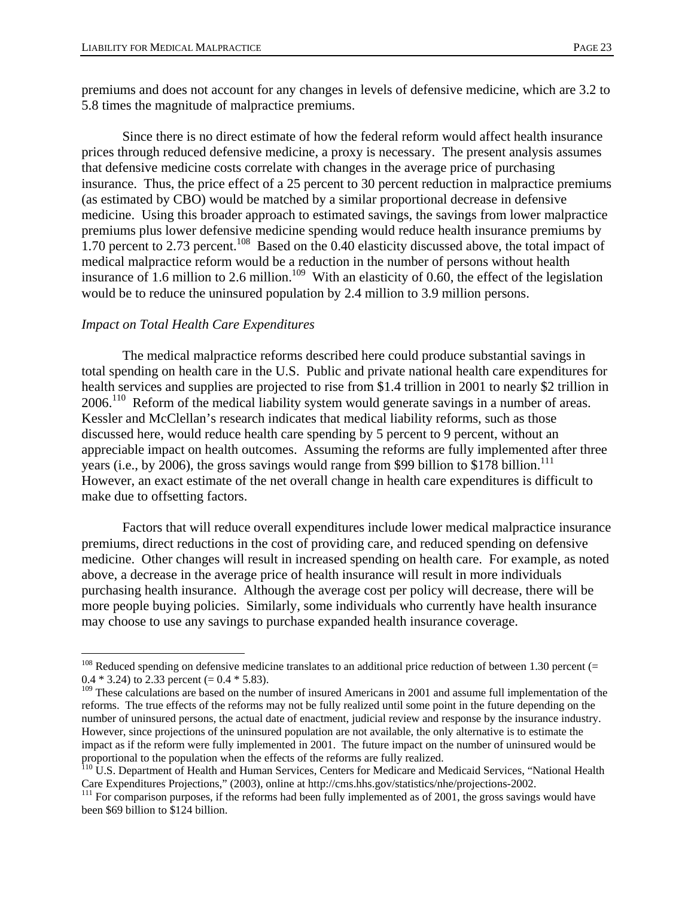premiums and does not account for any changes in levels of defensive medicine, which are 3.2 to 5.8 times the magnitude of malpractice premiums.

 Since there is no direct estimate of how the federal reform would affect health insurance prices through reduced defensive medicine, a proxy is necessary. The present analysis assumes that defensive medicine costs correlate with changes in the average price of purchasing insurance. Thus, the price effect of a 25 percent to 30 percent reduction in malpractice premiums (as estimated by CBO) would be matched by a similar proportional decrease in defensive medicine. Using this broader approach to estimated savings, the savings from lower malpractice premiums plus lower defensive medicine spending would reduce health insurance premiums by 1.70 percent to 2.73 percent.<sup>108</sup> Based on the 0.40 elasticity discussed above, the total impact of medical malpractice reform would be a reduction in the number of persons without health insurance of 1.6 million to 2.6 million.<sup>109</sup> With an elasticity of 0.60, the effect of the legislation would be to reduce the uninsured population by 2.4 million to 3.9 million persons.

#### *Impact on Total Health Care Expenditures*

 $\overline{a}$ 

 The medical malpractice reforms described here could produce substantial savings in total spending on health care in the U.S. Public and private national health care expenditures for health services and supplies are projected to rise from \$1.4 trillion in 2001 to nearly \$2 trillion in 2006.110 Reform of the medical liability system would generate savings in a number of areas. Kessler and McClellan's research indicates that medical liability reforms, such as those discussed here, would reduce health care spending by 5 percent to 9 percent, without an appreciable impact on health outcomes. Assuming the reforms are fully implemented after three years (i.e., by 2006), the gross savings would range from \$99 billion to \$178 billion.<sup>111</sup> However, an exact estimate of the net overall change in health care expenditures is difficult to make due to offsetting factors.

 Factors that will reduce overall expenditures include lower medical malpractice insurance premiums, direct reductions in the cost of providing care, and reduced spending on defensive medicine. Other changes will result in increased spending on health care. For example, as noted above, a decrease in the average price of health insurance will result in more individuals purchasing health insurance. Although the average cost per policy will decrease, there will be more people buying policies. Similarly, some individuals who currently have health insurance may choose to use any savings to purchase expanded health insurance coverage.

 $108$  Reduced spending on defensive medicine translates to an additional price reduction of between 1.30 percent (= 0.4  $*$  3.24) to 2.33 percent (= 0.4  $*$  5.83).

<sup>&</sup>lt;sup>109</sup> These calculations are based on the number of insured Americans in 2001 and assume full implementation of the reforms. The true effects of the reforms may not be fully realized until some point in the future depending on the number of uninsured persons, the actual date of enactment, judicial review and response by the insurance industry. However, since projections of the uninsured population are not available, the only alternative is to estimate the impact as if the reform were fully implemented in 2001. The future impact on the number of uninsured would be proportional to the population when the effects of the reforms are fully realized.

<sup>&</sup>lt;sup>110</sup> U.S. Department of Health and Human Services, Centers for Medicare and Medicaid Services, "National Health Care Expenditures Projections," (2003), online at http://cms.hhs.gov/statistics/nhe/projections-2002.

<sup>&</sup>lt;sup>111</sup> For comparison purposes, if the reforms had been fully implemented as of 2001, the gross savings would have been \$69 billion to \$124 billion.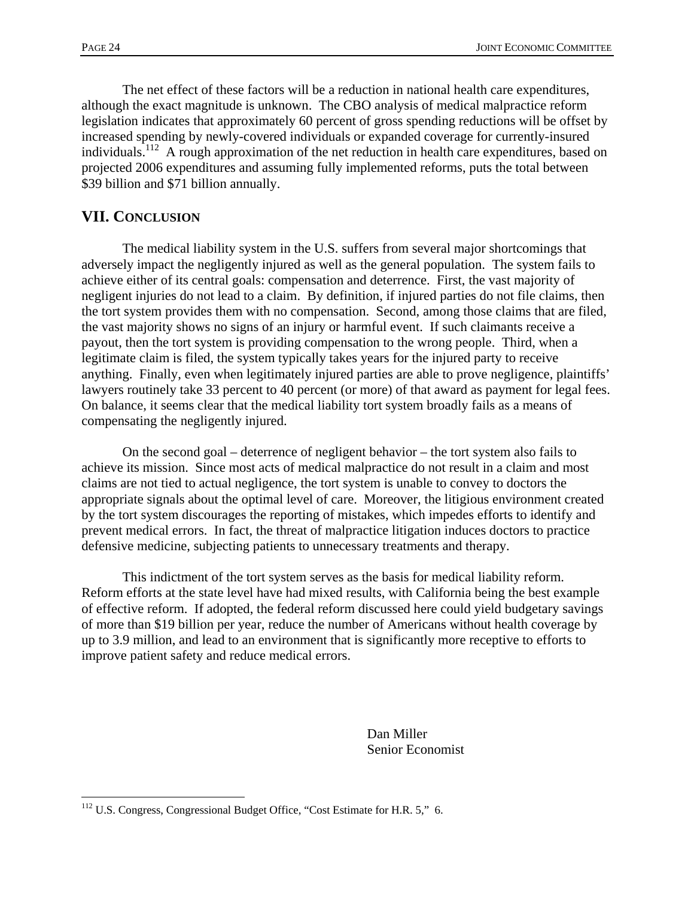$\overline{a}$ 

 The net effect of these factors will be a reduction in national health care expenditures, although the exact magnitude is unknown. The CBO analysis of medical malpractice reform legislation indicates that approximately 60 percent of gross spending reductions will be offset by increased spending by newly-covered individuals or expanded coverage for currently-insured individuals.<sup>112</sup> A rough approximation of the net reduction in health care expenditures, based on projected 2006 expenditures and assuming fully implemented reforms, puts the total between \$39 billion and \$71 billion annually.

## **VII. CONCLUSION**

 The medical liability system in the U.S. suffers from several major shortcomings that adversely impact the negligently injured as well as the general population. The system fails to achieve either of its central goals: compensation and deterrence. First, the vast majority of negligent injuries do not lead to a claim. By definition, if injured parties do not file claims, then the tort system provides them with no compensation. Second, among those claims that are filed, the vast majority shows no signs of an injury or harmful event. If such claimants receive a payout, then the tort system is providing compensation to the wrong people. Third, when a legitimate claim is filed, the system typically takes years for the injured party to receive anything. Finally, even when legitimately injured parties are able to prove negligence, plaintiffs' lawyers routinely take 33 percent to 40 percent (or more) of that award as payment for legal fees. On balance, it seems clear that the medical liability tort system broadly fails as a means of compensating the negligently injured.

 On the second goal – deterrence of negligent behavior – the tort system also fails to achieve its mission. Since most acts of medical malpractice do not result in a claim and most claims are not tied to actual negligence, the tort system is unable to convey to doctors the appropriate signals about the optimal level of care. Moreover, the litigious environment created by the tort system discourages the reporting of mistakes, which impedes efforts to identify and prevent medical errors. In fact, the threat of malpractice litigation induces doctors to practice defensive medicine, subjecting patients to unnecessary treatments and therapy.

 This indictment of the tort system serves as the basis for medical liability reform. Reform efforts at the state level have had mixed results, with California being the best example of effective reform. If adopted, the federal reform discussed here could yield budgetary savings of more than \$19 billion per year, reduce the number of Americans without health coverage by up to 3.9 million, and lead to an environment that is significantly more receptive to efforts to improve patient safety and reduce medical errors.

> Dan Miller Senior Economist

<sup>&</sup>lt;sup>112</sup> U.S. Congress, Congressional Budget Office, "Cost Estimate for H.R. 5," 6.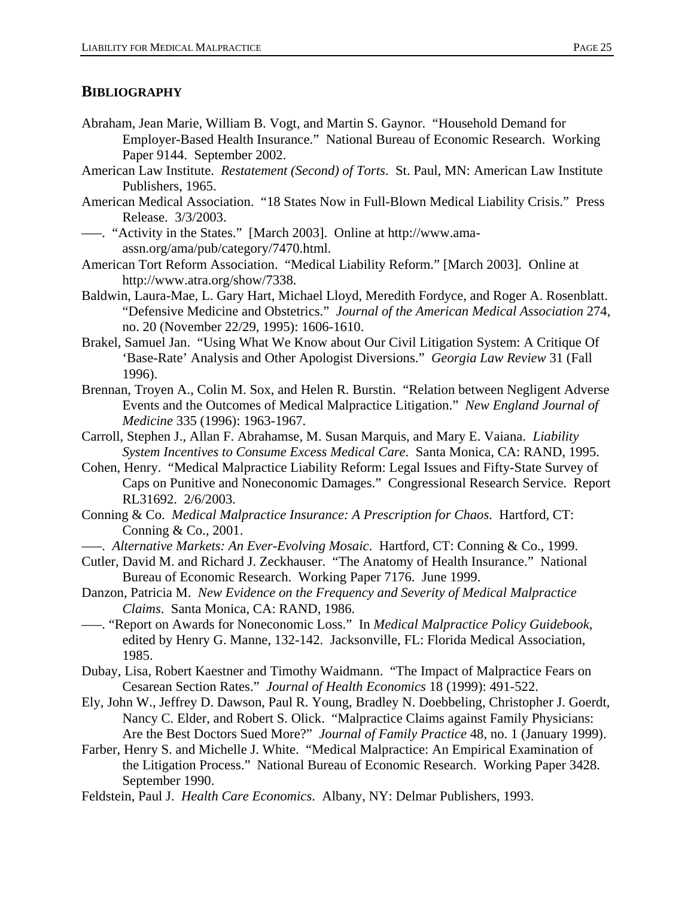#### **BIBLIOGRAPHY**

- Abraham, Jean Marie, William B. Vogt, and Martin S. Gaynor. "Household Demand for Employer-Based Health Insurance." National Bureau of Economic Research. Working Paper 9144. September 2002.
- American Law Institute. *Restatement (Second) of Torts*. St. Paul, MN: American Law Institute Publishers, 1965.
- American Medical Association. "18 States Now in Full-Blown Medical Liability Crisis." Press Release. 3/3/2003.
- –––. "Activity in the States." [March 2003]. Online at http://www.amaassn.org/ama/pub/category/7470.html.
- American Tort Reform Association. "Medical Liability Reform." [March 2003]. Online at http://www.atra.org/show/7338.
- Baldwin, Laura-Mae, L. Gary Hart, Michael Lloyd, Meredith Fordyce, and Roger A. Rosenblatt. "Defensive Medicine and Obstetrics." *Journal of the American Medical Association* 274, no. 20 (November 22/29, 1995): 1606-1610.
- Brakel, Samuel Jan. "Using What We Know about Our Civil Litigation System: A Critique Of 'Base-Rate' Analysis and Other Apologist Diversions." *Georgia Law Review* 31 (Fall 1996).
- Brennan, Troyen A., Colin M. Sox, and Helen R. Burstin. "Relation between Negligent Adverse Events and the Outcomes of Medical Malpractice Litigation." *New England Journal of Medicine* 335 (1996): 1963-1967.
- Carroll, Stephen J., Allan F. Abrahamse, M. Susan Marquis, and Mary E. Vaiana. *Liability System Incentives to Consume Excess Medical Care*. Santa Monica, CA: RAND, 1995.
- Cohen, Henry. "Medical Malpractice Liability Reform: Legal Issues and Fifty-State Survey of Caps on Punitive and Noneconomic Damages." Congressional Research Service. Report RL31692. 2/6/2003.
- Conning & Co. *Medical Malpractice Insurance: A Prescription for Chaos*. Hartford, CT: Conning & Co., 2001.
- –––. *Alternative Markets: An Ever-Evolving Mosaic*. Hartford, CT: Conning & Co., 1999.
- Cutler, David M. and Richard J. Zeckhauser. "The Anatomy of Health Insurance." National Bureau of Economic Research. Working Paper 7176. June 1999.
- Danzon, Patricia M. *New Evidence on the Frequency and Severity of Medical Malpractice Claims*. Santa Monica, CA: RAND, 1986.
- –––. "Report on Awards for Noneconomic Loss." In *Medical Malpractice Policy Guidebook*, edited by Henry G. Manne, 132-142. Jacksonville, FL: Florida Medical Association, 1985.
- Dubay, Lisa, Robert Kaestner and Timothy Waidmann. "The Impact of Malpractice Fears on Cesarean Section Rates." *Journal of Health Economics* 18 (1999): 491-522.
- Ely, John W., Jeffrey D. Dawson, Paul R. Young, Bradley N. Doebbeling, Christopher J. Goerdt, Nancy C. Elder, and Robert S. Olick. "Malpractice Claims against Family Physicians: Are the Best Doctors Sued More?" *Journal of Family Practice* 48, no. 1 (January 1999).
- Farber, Henry S. and Michelle J. White. "Medical Malpractice: An Empirical Examination of the Litigation Process." National Bureau of Economic Research. Working Paper 3428. September 1990.
- Feldstein, Paul J. *Health Care Economics*. Albany, NY: Delmar Publishers, 1993.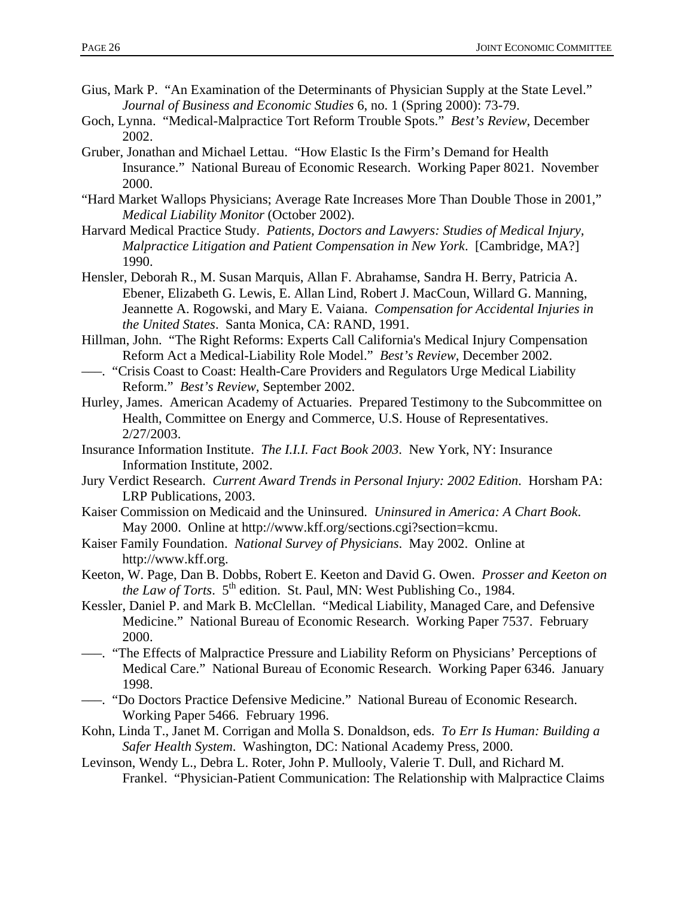- Gius, Mark P. "An Examination of the Determinants of Physician Supply at the State Level." *Journal of Business and Economic Studies* 6, no. 1 (Spring 2000): 73-79.
- Goch, Lynna. "Medical-Malpractice Tort Reform Trouble Spots." *Best's Review*, December 2002.
- Gruber, Jonathan and Michael Lettau. "How Elastic Is the Firm's Demand for Health Insurance." National Bureau of Economic Research. Working Paper 8021. November 2000.
- "Hard Market Wallops Physicians; Average Rate Increases More Than Double Those in 2001," *Medical Liability Monitor* (October 2002).
- Harvard Medical Practice Study. *Patients, Doctors and Lawyers: Studies of Medical Injury, Malpractice Litigation and Patient Compensation in New York*. [Cambridge, MA?] 1990.
- Hensler, Deborah R., M. Susan Marquis, Allan F. Abrahamse, Sandra H. Berry, Patricia A. Ebener, Elizabeth G. Lewis, E. Allan Lind, Robert J. MacCoun, Willard G. Manning, Jeannette A. Rogowski, and Mary E. Vaiana. *Compensation for Accidental Injuries in the United States*. Santa Monica, CA: RAND, 1991.
- Hillman, John. "The Right Reforms: Experts Call California's Medical Injury Compensation Reform Act a Medical-Liability Role Model." *Best's Review*, December 2002.
- –––. "Crisis Coast to Coast: Health-Care Providers and Regulators Urge Medical Liability Reform." *Best's Review*, September 2002.
- Hurley, James. American Academy of Actuaries. Prepared Testimony to the Subcommittee on Health, Committee on Energy and Commerce, U.S. House of Representatives. 2/27/2003.
- Insurance Information Institute. *The I.I.I. Fact Book 2003*. New York, NY: Insurance Information Institute, 2002.
- Jury Verdict Research. *Current Award Trends in Personal Injury: 2002 Edition*. Horsham PA: LRP Publications, 2003.
- Kaiser Commission on Medicaid and the Uninsured. *Uninsured in America: A Chart Book*. May 2000. Online at http://www.kff.org/sections.cgi?section=kcmu.
- Kaiser Family Foundation. *National Survey of Physicians*. May 2002. Online at http://www.kff.org.
- Keeton, W. Page, Dan B. Dobbs, Robert E. Keeton and David G. Owen. *Prosser and Keeton on the Law of Torts.*  $5<sup>th</sup>$  edition. St. Paul, MN: West Publishing Co., 1984.
- Kessler, Daniel P. and Mark B. McClellan. "Medical Liability, Managed Care, and Defensive Medicine." National Bureau of Economic Research. Working Paper 7537. February 2000.
- –––. "The Effects of Malpractice Pressure and Liability Reform on Physicians' Perceptions of Medical Care." National Bureau of Economic Research. Working Paper 6346. January 1998.
- –––. "Do Doctors Practice Defensive Medicine." National Bureau of Economic Research. Working Paper 5466. February 1996.
- Kohn, Linda T., Janet M. Corrigan and Molla S. Donaldson, eds. *To Err Is Human: Building a Safer Health System*. Washington, DC: National Academy Press, 2000.
- Levinson, Wendy L., Debra L. Roter, John P. Mullooly, Valerie T. Dull, and Richard M. Frankel. "Physician-Patient Communication: The Relationship with Malpractice Claims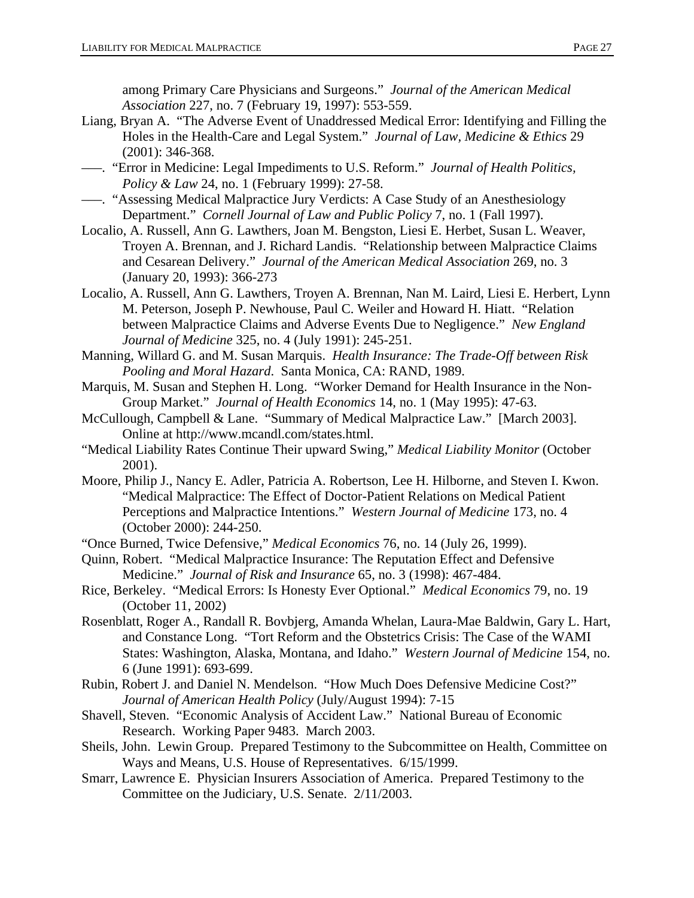among Primary Care Physicians and Surgeons." *Journal of the American Medical Association* 227, no. 7 (February 19, 1997): 553-559.

- Liang, Bryan A. "The Adverse Event of Unaddressed Medical Error: Identifying and Filling the Holes in the Health-Care and Legal System." *Journal of Law, Medicine & Ethics* 29 (2001): 346-368.
- –––. "Error in Medicine: Legal Impediments to U.S. Reform." *Journal of Health Politics, Policy & Law* 24, no. 1 (February 1999): 27-58.
- –––. "Assessing Medical Malpractice Jury Verdicts: A Case Study of an Anesthesiology Department." *Cornell Journal of Law and Public Policy* 7, no. 1 (Fall 1997).
- Localio, A. Russell, Ann G. Lawthers, Joan M. Bengston, Liesi E. Herbet, Susan L. Weaver, Troyen A. Brennan, and J. Richard Landis. "Relationship between Malpractice Claims and Cesarean Delivery." *Journal of the American Medical Association* 269, no. 3 (January 20, 1993): 366-273
- Localio, A. Russell, Ann G. Lawthers, Troyen A. Brennan, Nan M. Laird, Liesi E. Herbert, Lynn M. Peterson, Joseph P. Newhouse, Paul C. Weiler and Howard H. Hiatt. "Relation between Malpractice Claims and Adverse Events Due to Negligence." *New England Journal of Medicine* 325, no. 4 (July 1991): 245-251.
- Manning, Willard G. and M. Susan Marquis. *Health Insurance: The Trade-Off between Risk Pooling and Moral Hazard*. Santa Monica, CA: RAND, 1989.
- Marquis, M. Susan and Stephen H. Long. "Worker Demand for Health Insurance in the Non-Group Market." *Journal of Health Economics* 14, no. 1 (May 1995): 47-63.
- McCullough, Campbell & Lane. "Summary of Medical Malpractice Law." [March 2003]. Online at http://www.mcandl.com/states.html.
- "Medical Liability Rates Continue Their upward Swing," *Medical Liability Monitor* (October 2001).
- Moore, Philip J., Nancy E. Adler, Patricia A. Robertson, Lee H. Hilborne, and Steven I. Kwon. "Medical Malpractice: The Effect of Doctor-Patient Relations on Medical Patient Perceptions and Malpractice Intentions." *Western Journal of Medicine* 173, no. 4 (October 2000): 244-250.
- "Once Burned, Twice Defensive," *Medical Economics* 76, no. 14 (July 26, 1999).
- Quinn, Robert. "Medical Malpractice Insurance: The Reputation Effect and Defensive Medicine." *Journal of Risk and Insurance* 65, no. 3 (1998): 467-484.
- Rice, Berkeley. "Medical Errors: Is Honesty Ever Optional." *Medical Economics* 79, no. 19 (October 11, 2002)
- Rosenblatt, Roger A., Randall R. Bovbjerg, Amanda Whelan, Laura-Mae Baldwin, Gary L. Hart, and Constance Long. "Tort Reform and the Obstetrics Crisis: The Case of the WAMI States: Washington, Alaska, Montana, and Idaho." *Western Journal of Medicine* 154, no. 6 (June 1991): 693-699.
- Rubin, Robert J. and Daniel N. Mendelson. "How Much Does Defensive Medicine Cost?" *Journal of American Health Policy* (July/August 1994): 7-15
- Shavell, Steven. "Economic Analysis of Accident Law." National Bureau of Economic Research. Working Paper 9483. March 2003.
- Sheils, John. Lewin Group. Prepared Testimony to the Subcommittee on Health, Committee on Ways and Means, U.S. House of Representatives. 6/15/1999.
- Smarr, Lawrence E. Physician Insurers Association of America. Prepared Testimony to the Committee on the Judiciary, U.S. Senate. 2/11/2003.